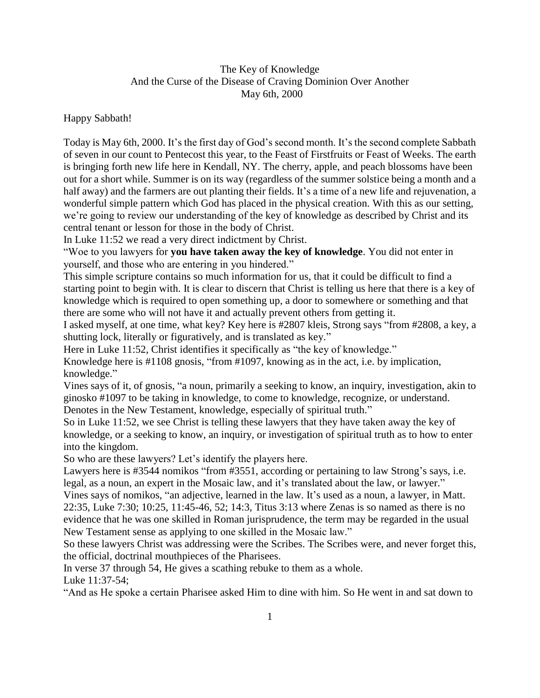## The Key of Knowledge And the Curse of the Disease of Craving Dominion Over Another May 6th, 2000

Happy Sabbath!

Today is May 6th, 2000. It's the first day of God's second month. It's the second complete Sabbath of seven in our count to Pentecost this year, to the Feast of Firstfruits or Feast of Weeks. The earth is bringing forth new life here in Kendall, NY. The cherry, apple, and peach blossoms have been out for a short while. Summer is on its way (regardless of the summer solstice being a month and a half away) and the farmers are out planting their fields. It's a time of a new life and rejuvenation, a wonderful simple pattern which God has placed in the physical creation. With this as our setting, we're going to review our understanding of the key of knowledge as described by Christ and its central tenant or lesson for those in the body of Christ.

In Luke 11:52 we read a very direct indictment by Christ.

"Woe to you lawyers for **you have taken away the key of knowledge**. You did not enter in yourself, and those who are entering in you hindered."

This simple scripture contains so much information for us, that it could be difficult to find a starting point to begin with. It is clear to discern that Christ is telling us here that there is a key of knowledge which is required to open something up, a door to somewhere or something and that there are some who will not have it and actually prevent others from getting it.

I asked myself, at one time, what key? Key here is #2807 kleis, Strong says "from #2808, a key, a shutting lock, literally or figuratively, and is translated as key."

Here in Luke 11:52, Christ identifies it specifically as "the key of knowledge."

Knowledge here is #1108 gnosis, "from #1097, knowing as in the act, i.e. by implication, knowledge."

Vines says of it, of gnosis, "a noun, primarily a seeking to know, an inquiry, investigation, akin to ginosko #1097 to be taking in knowledge, to come to knowledge, recognize, or understand. Denotes in the New Testament, knowledge, especially of spiritual truth."

So in Luke 11:52, we see Christ is telling these lawyers that they have taken away the key of knowledge, or a seeking to know, an inquiry, or investigation of spiritual truth as to how to enter into the kingdom.

So who are these lawyers? Let's identify the players here.

Lawyers here is #3544 nomikos "from #3551, according or pertaining to law Strong's says, i.e. legal, as a noun, an expert in the Mosaic law, and it's translated about the law, or lawyer."

Vines says of nomikos, "an adjective, learned in the law. It's used as a noun, a lawyer, in Matt. 22:35, Luke 7:30; 10:25, 11:45-46, 52; 14:3, Titus 3:13 where Zenas is so named as there is no evidence that he was one skilled in Roman jurisprudence, the term may be regarded in the usual New Testament sense as applying to one skilled in the Mosaic law."

So these lawyers Christ was addressing were the Scribes. The Scribes were, and never forget this, the official, doctrinal mouthpieces of the Pharisees.

In verse 37 through 54, He gives a scathing rebuke to them as a whole. Luke 11:37-54;

"And as He spoke a certain Pharisee asked Him to dine with him. So He went in and sat down to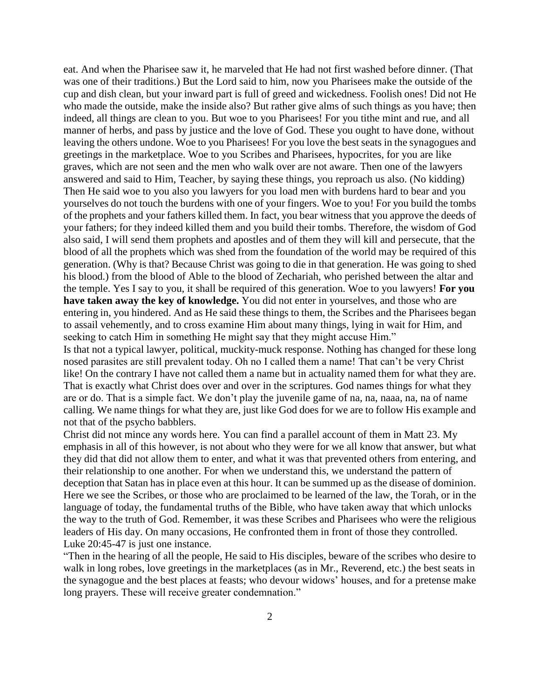eat. And when the Pharisee saw it, he marveled that He had not first washed before dinner. (That was one of their traditions.) But the Lord said to him, now you Pharisees make the outside of the cup and dish clean, but your inward part is full of greed and wickedness. Foolish ones! Did not He who made the outside, make the inside also? But rather give alms of such things as you have; then indeed, all things are clean to you. But woe to you Pharisees! For you tithe mint and rue, and all manner of herbs, and pass by justice and the love of God. These you ought to have done, without leaving the others undone. Woe to you Pharisees! For you love the best seats in the synagogues and greetings in the marketplace. Woe to you Scribes and Pharisees, hypocrites, for you are like graves, which are not seen and the men who walk over are not aware. Then one of the lawyers answered and said to Him, Teacher, by saying these things, you reproach us also. (No kidding) Then He said woe to you also you lawyers for you load men with burdens hard to bear and you yourselves do not touch the burdens with one of your fingers. Woe to you! For you build the tombs of the prophets and your fathers killed them. In fact, you bear witness that you approve the deeds of your fathers; for they indeed killed them and you build their tombs. Therefore, the wisdom of God also said, I will send them prophets and apostles and of them they will kill and persecute, that the blood of all the prophets which was shed from the foundation of the world may be required of this generation. (Why is that? Because Christ was going to die in that generation. He was going to shed his blood.) from the blood of Able to the blood of Zechariah, who perished between the altar and the temple. Yes I say to you, it shall be required of this generation. Woe to you lawyers! **For you have taken away the key of knowledge.** You did not enter in yourselves, and those who are entering in, you hindered. And as He said these things to them, the Scribes and the Pharisees began to assail vehemently, and to cross examine Him about many things, lying in wait for Him, and seeking to catch Him in something He might say that they might accuse Him."

Is that not a typical lawyer, political, muckity-muck response. Nothing has changed for these long nosed parasites are still prevalent today. Oh no I called them a name! That can't be very Christ like! On the contrary I have not called them a name but in actuality named them for what they are. That is exactly what Christ does over and over in the scriptures. God names things for what they are or do. That is a simple fact. We don't play the juvenile game of na, na, naaa, na, na of name calling. We name things for what they are, just like God does for we are to follow His example and not that of the psycho babblers.

Christ did not mince any words here. You can find a parallel account of them in Matt 23. My emphasis in all of this however, is not about who they were for we all know that answer, but what they did that did not allow them to enter, and what it was that prevented others from entering, and their relationship to one another. For when we understand this, we understand the pattern of deception that Satan has in place even at this hour. It can be summed up as the disease of dominion. Here we see the Scribes, or those who are proclaimed to be learned of the law, the Torah, or in the language of today, the fundamental truths of the Bible, who have taken away that which unlocks the way to the truth of God. Remember, it was these Scribes and Pharisees who were the religious leaders of His day. On many occasions, He confronted them in front of those they controlled. Luke 20:45-47 is just one instance.

"Then in the hearing of all the people, He said to His disciples, beware of the scribes who desire to walk in long robes, love greetings in the marketplaces (as in Mr., Reverend, etc.) the best seats in the synagogue and the best places at feasts; who devour widows' houses, and for a pretense make long prayers. These will receive greater condemnation."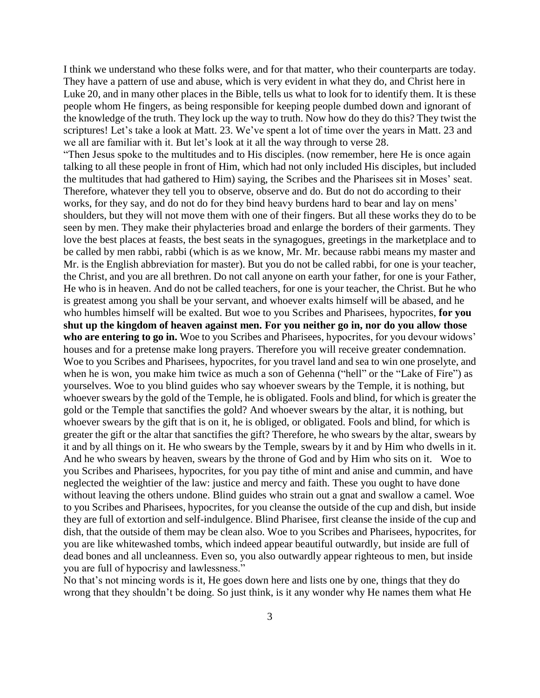I think we understand who these folks were, and for that matter, who their counterparts are today. They have a pattern of use and abuse, which is very evident in what they do, and Christ here in Luke 20, and in many other places in the Bible, tells us what to look for to identify them. It is these people whom He fingers, as being responsible for keeping people dumbed down and ignorant of the knowledge of the truth. They lock up the way to truth. Now how do they do this? They twist the scriptures! Let's take a look at Matt. 23. We've spent a lot of time over the years in Matt. 23 and we all are familiar with it. But let's look at it all the way through to verse 28.

"Then Jesus spoke to the multitudes and to His disciples. (now remember, here He is once again talking to all these people in front of Him, which had not only included His disciples, but included the multitudes that had gathered to Him) saying, the Scribes and the Pharisees sit in Moses' seat. Therefore, whatever they tell you to observe, observe and do. But do not do according to their works, for they say, and do not do for they bind heavy burdens hard to bear and lay on mens' shoulders, but they will not move them with one of their fingers. But all these works they do to be seen by men. They make their phylacteries broad and enlarge the borders of their garments. They love the best places at feasts, the best seats in the synagogues, greetings in the marketplace and to be called by men rabbi, rabbi (which is as we know, Mr. Mr. because rabbi means my master and Mr. is the English abbreviation for master). But you do not be called rabbi, for one is your teacher, the Christ, and you are all brethren. Do not call anyone on earth your father, for one is your Father, He who is in heaven. And do not be called teachers, for one is your teacher, the Christ. But he who is greatest among you shall be your servant, and whoever exalts himself will be abased, and he who humbles himself will be exalted. But woe to you Scribes and Pharisees, hypocrites, **for you shut up the kingdom of heaven against men. For you neither go in, nor do you allow those**  who are entering to go in. Woe to you Scribes and Pharisees, hypocrites, for you devour widows' houses and for a pretense make long prayers. Therefore you will receive greater condemnation. Woe to you Scribes and Pharisees, hypocrites, for you travel land and sea to win one proselyte, and when he is won, you make him twice as much a son of Gehenna ("hell" or the "Lake of Fire") as yourselves. Woe to you blind guides who say whoever swears by the Temple, it is nothing, but whoever swears by the gold of the Temple, he is obligated. Fools and blind, for which is greater the gold or the Temple that sanctifies the gold? And whoever swears by the altar, it is nothing, but whoever swears by the gift that is on it, he is obliged, or obligated. Fools and blind, for which is greater the gift or the altar that sanctifies the gift? Therefore, he who swears by the altar, swears by it and by all things on it. He who swears by the Temple, swears by it and by Him who dwells in it. And he who swears by heaven, swears by the throne of God and by Him who sits on it. Woe to you Scribes and Pharisees, hypocrites, for you pay tithe of mint and anise and cummin, and have neglected the weightier of the law: justice and mercy and faith. These you ought to have done without leaving the others undone. Blind guides who strain out a gnat and swallow a camel. Woe to you Scribes and Pharisees, hypocrites, for you cleanse the outside of the cup and dish, but inside they are full of extortion and self-indulgence. Blind Pharisee, first cleanse the inside of the cup and dish, that the outside of them may be clean also. Woe to you Scribes and Pharisees, hypocrites, for you are like whitewashed tombs, which indeed appear beautiful outwardly, but inside are full of dead bones and all uncleanness. Even so, you also outwardly appear righteous to men, but inside you are full of hypocrisy and lawlessness."

No that's not mincing words is it, He goes down here and lists one by one, things that they do wrong that they shouldn't be doing. So just think, is it any wonder why He names them what He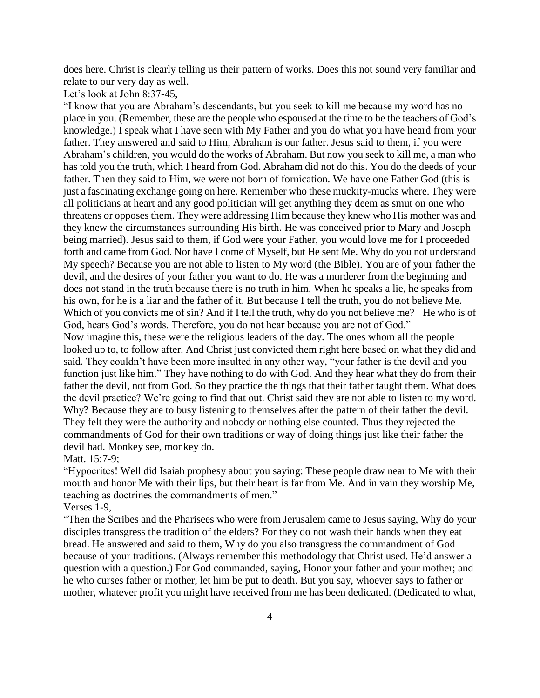does here. Christ is clearly telling us their pattern of works. Does this not sound very familiar and relate to our very day as well.

Let's look at John 8:37-45,

"I know that you are Abraham's descendants, but you seek to kill me because my word has no place in you. (Remember, these are the people who espoused at the time to be the teachers of God's knowledge.) I speak what I have seen with My Father and you do what you have heard from your father. They answered and said to Him, Abraham is our father. Jesus said to them, if you were Abraham's children, you would do the works of Abraham. But now you seek to kill me, a man who has told you the truth, which I heard from God. Abraham did not do this. You do the deeds of your father. Then they said to Him, we were not born of fornication. We have one Father God (this is just a fascinating exchange going on here. Remember who these muckity-mucks where. They were all politicians at heart and any good politician will get anything they deem as smut on one who threatens or opposes them. They were addressing Him because they knew who His mother was and they knew the circumstances surrounding His birth. He was conceived prior to Mary and Joseph being married). Jesus said to them, if God were your Father, you would love me for I proceeded forth and came from God. Nor have I come of Myself, but He sent Me. Why do you not understand My speech? Because you are not able to listen to My word (the Bible). You are of your father the devil, and the desires of your father you want to do. He was a murderer from the beginning and does not stand in the truth because there is no truth in him. When he speaks a lie, he speaks from his own, for he is a liar and the father of it. But because I tell the truth, you do not believe Me. Which of you convicts me of sin? And if I tell the truth, why do you not believe me? He who is of God, hears God's words. Therefore, you do not hear because you are not of God." Now imagine this, these were the religious leaders of the day. The ones whom all the people looked up to, to follow after. And Christ just convicted them right here based on what they did and said. They couldn't have been more insulted in any other way, "your father is the devil and you function just like him." They have nothing to do with God. And they hear what they do from their father the devil, not from God. So they practice the things that their father taught them. What does the devil practice? We're going to find that out. Christ said they are not able to listen to my word. Why? Because they are to busy listening to themselves after the pattern of their father the devil. They felt they were the authority and nobody or nothing else counted. Thus they rejected the commandments of God for their own traditions or way of doing things just like their father the devil had. Monkey see, monkey do.

Matt. 15:7-9;

"Hypocrites! Well did Isaiah prophesy about you saying: These people draw near to Me with their mouth and honor Me with their lips, but their heart is far from Me. And in vain they worship Me, teaching as doctrines the commandments of men."

Verses 1-9,

"Then the Scribes and the Pharisees who were from Jerusalem came to Jesus saying, Why do your disciples transgress the tradition of the elders? For they do not wash their hands when they eat bread. He answered and said to them, Why do you also transgress the commandment of God because of your traditions. (Always remember this methodology that Christ used. He'd answer a question with a question.) For God commanded, saying, Honor your father and your mother; and he who curses father or mother, let him be put to death. But you say, whoever says to father or mother, whatever profit you might have received from me has been dedicated. (Dedicated to what,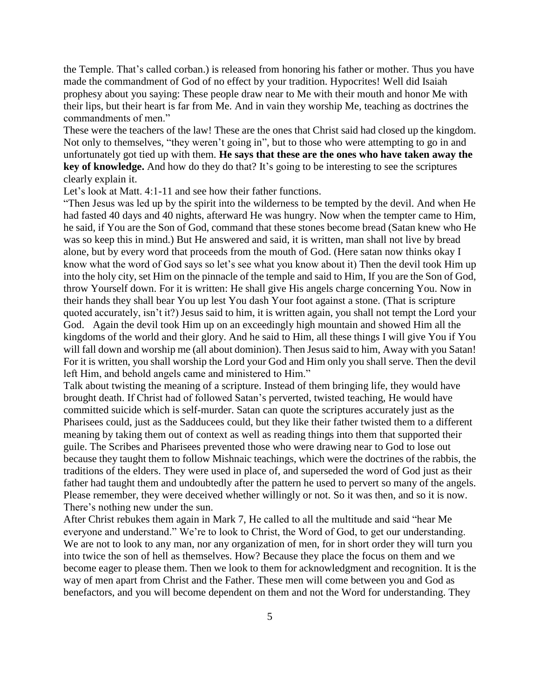the Temple. That's called corban.) is released from honoring his father or mother. Thus you have made the commandment of God of no effect by your tradition. Hypocrites! Well did Isaiah prophesy about you saying: These people draw near to Me with their mouth and honor Me with their lips, but their heart is far from Me. And in vain they worship Me, teaching as doctrines the commandments of men."

These were the teachers of the law! These are the ones that Christ said had closed up the kingdom. Not only to themselves, "they weren't going in", but to those who were attempting to go in and unfortunately got tied up with them. **He says that these are the ones who have taken away the key of knowledge.** And how do they do that? It's going to be interesting to see the scriptures clearly explain it.

Let's look at Matt. 4:1-11 and see how their father functions.

"Then Jesus was led up by the spirit into the wilderness to be tempted by the devil. And when He had fasted 40 days and 40 nights, afterward He was hungry. Now when the tempter came to Him, he said, if You are the Son of God, command that these stones become bread (Satan knew who He was so keep this in mind.) But He answered and said, it is written, man shall not live by bread alone, but by every word that proceeds from the mouth of God. (Here satan now thinks okay I know what the word of God says so let's see what you know about it) Then the devil took Him up into the holy city, set Him on the pinnacle of the temple and said to Him, If you are the Son of God, throw Yourself down. For it is written: He shall give His angels charge concerning You. Now in their hands they shall bear You up lest You dash Your foot against a stone. (That is scripture quoted accurately, isn't it?) Jesus said to him, it is written again, you shall not tempt the Lord your God. Again the devil took Him up on an exceedingly high mountain and showed Him all the kingdoms of the world and their glory. And he said to Him, all these things I will give You if You will fall down and worship me (all about dominion). Then Jesus said to him, Away with you Satan! For it is written, you shall worship the Lord your God and Him only you shall serve. Then the devil left Him, and behold angels came and ministered to Him."

Talk about twisting the meaning of a scripture. Instead of them bringing life, they would have brought death. If Christ had of followed Satan's perverted, twisted teaching, He would have committed suicide which is self-murder. Satan can quote the scriptures accurately just as the Pharisees could, just as the Sadducees could, but they like their father twisted them to a different meaning by taking them out of context as well as reading things into them that supported their guile. The Scribes and Pharisees prevented those who were drawing near to God to lose out because they taught them to follow Mishnaic teachings, which were the doctrines of the rabbis, the traditions of the elders. They were used in place of, and superseded the word of God just as their father had taught them and undoubtedly after the pattern he used to pervert so many of the angels. Please remember, they were deceived whether willingly or not. So it was then, and so it is now. There's nothing new under the sun.

After Christ rebukes them again in Mark 7, He called to all the multitude and said "hear Me everyone and understand." We're to look to Christ, the Word of God, to get our understanding. We are not to look to any man, nor any organization of men, for in short order they will turn you into twice the son of hell as themselves. How? Because they place the focus on them and we become eager to please them. Then we look to them for acknowledgment and recognition. It is the way of men apart from Christ and the Father. These men will come between you and God as benefactors, and you will become dependent on them and not the Word for understanding. They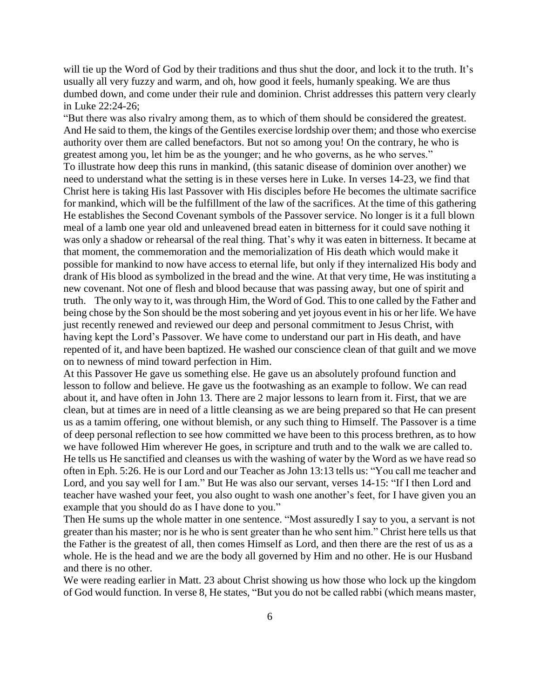will tie up the Word of God by their traditions and thus shut the door, and lock it to the truth. It's usually all very fuzzy and warm, and oh, how good it feels, humanly speaking. We are thus dumbed down, and come under their rule and dominion. Christ addresses this pattern very clearly in Luke 22:24-26;

"But there was also rivalry among them, as to which of them should be considered the greatest. And He said to them, the kings of the Gentiles exercise lordship over them; and those who exercise authority over them are called benefactors. But not so among you! On the contrary, he who is greatest among you, let him be as the younger; and he who governs, as he who serves." To illustrate how deep this runs in mankind, (this satanic disease of dominion over another) we need to understand what the setting is in these verses here in Luke. In verses 14-23, we find that Christ here is taking His last Passover with His disciples before He becomes the ultimate sacrifice for mankind, which will be the fulfillment of the law of the sacrifices. At the time of this gathering He establishes the Second Covenant symbols of the Passover service. No longer is it a full blown meal of a lamb one year old and unleavened bread eaten in bitterness for it could save nothing it was only a shadow or rehearsal of the real thing. That's why it was eaten in bitterness. It became at that moment, the commemoration and the memorialization of His death which would make it possible for mankind to now have access to eternal life, but only if they internalized His body and drank of His blood as symbolized in the bread and the wine. At that very time, He was instituting a new covenant. Not one of flesh and blood because that was passing away, but one of spirit and truth. The only way to it, was through Him, the Word of God. This to one called by the Father and being chose by the Son should be the most sobering and yet joyous event in his or her life. We have just recently renewed and reviewed our deep and personal commitment to Jesus Christ, with having kept the Lord's Passover. We have come to understand our part in His death, and have repented of it, and have been baptized. He washed our conscience clean of that guilt and we move on to newness of mind toward perfection in Him.

At this Passover He gave us something else. He gave us an absolutely profound function and lesson to follow and believe. He gave us the footwashing as an example to follow. We can read about it, and have often in John 13. There are 2 major lessons to learn from it. First, that we are clean, but at times are in need of a little cleansing as we are being prepared so that He can present us as a tamim offering, one without blemish, or any such thing to Himself. The Passover is a time of deep personal reflection to see how committed we have been to this process brethren, as to how we have followed Him wherever He goes, in scripture and truth and to the walk we are called to. He tells us He sanctified and cleanses us with the washing of water by the Word as we have read so often in Eph. 5:26. He is our Lord and our Teacher as John 13:13 tells us: "You call me teacher and Lord, and you say well for I am." But He was also our servant, verses 14-15: "If I then Lord and teacher have washed your feet, you also ought to wash one another's feet, for I have given you an example that you should do as I have done to you."

Then He sums up the whole matter in one sentence. "Most assuredly I say to you, a servant is not greater than his master; nor is he who is sent greater than he who sent him." Christ here tells us that the Father is the greatest of all, then comes Himself as Lord, and then there are the rest of us as a whole. He is the head and we are the body all governed by Him and no other. He is our Husband and there is no other.

We were reading earlier in Matt. 23 about Christ showing us how those who lock up the kingdom of God would function. In verse 8, He states, "But you do not be called rabbi (which means master,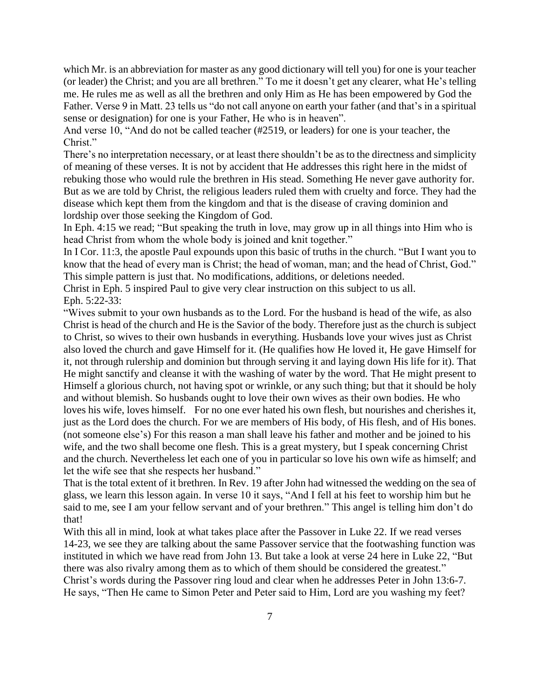which Mr. is an abbreviation for master as any good dictionary will tell you) for one is your teacher (or leader) the Christ; and you are all brethren." To me it doesn't get any clearer, what He's telling me. He rules me as well as all the brethren and only Him as He has been empowered by God the Father. Verse 9 in Matt. 23 tells us "do not call anyone on earth your father (and that's in a spiritual sense or designation) for one is your Father, He who is in heaven".

And verse 10, "And do not be called teacher (#2519, or leaders) for one is your teacher, the Christ."

There's no interpretation necessary, or at least there shouldn't be as to the directness and simplicity of meaning of these verses. It is not by accident that He addresses this right here in the midst of rebuking those who would rule the brethren in His stead. Something He never gave authority for. But as we are told by Christ, the religious leaders ruled them with cruelty and force. They had the disease which kept them from the kingdom and that is the disease of craving dominion and lordship over those seeking the Kingdom of God.

In Eph. 4:15 we read; "But speaking the truth in love, may grow up in all things into Him who is head Christ from whom the whole body is joined and knit together."

In I Cor. 11:3, the apostle Paul expounds upon this basic of truths in the church. "But I want you to know that the head of every man is Christ; the head of woman, man; and the head of Christ, God." This simple pattern is just that. No modifications, additions, or deletions needed.

Christ in Eph. 5 inspired Paul to give very clear instruction on this subject to us all. Eph. 5:22-33:

"Wives submit to your own husbands as to the Lord. For the husband is head of the wife, as also Christ is head of the church and He is the Savior of the body. Therefore just as the church is subject to Christ, so wives to their own husbands in everything. Husbands love your wives just as Christ also loved the church and gave Himself for it. (He qualifies how He loved it, He gave Himself for it, not through rulership and dominion but through serving it and laying down His life for it). That He might sanctify and cleanse it with the washing of water by the word. That He might present to Himself a glorious church, not having spot or wrinkle, or any such thing; but that it should be holy and without blemish. So husbands ought to love their own wives as their own bodies. He who loves his wife, loves himself. For no one ever hated his own flesh, but nourishes and cherishes it, just as the Lord does the church. For we are members of His body, of His flesh, and of His bones. (not someone else's) For this reason a man shall leave his father and mother and be joined to his wife, and the two shall become one flesh. This is a great mystery, but I speak concerning Christ and the church. Nevertheless let each one of you in particular so love his own wife as himself; and let the wife see that she respects her husband."

That is the total extent of it brethren. In Rev. 19 after John had witnessed the wedding on the sea of glass, we learn this lesson again. In verse 10 it says, "And I fell at his feet to worship him but he said to me, see I am your fellow servant and of your brethren." This angel is telling him don't do that!

With this all in mind, look at what takes place after the Passover in Luke 22. If we read verses 14-23, we see they are talking about the same Passover service that the footwashing function was instituted in which we have read from John 13. But take a look at verse 24 here in Luke 22, "But there was also rivalry among them as to which of them should be considered the greatest." Christ's words during the Passover ring loud and clear when he addresses Peter in John 13:6-7. He says, "Then He came to Simon Peter and Peter said to Him, Lord are you washing my feet?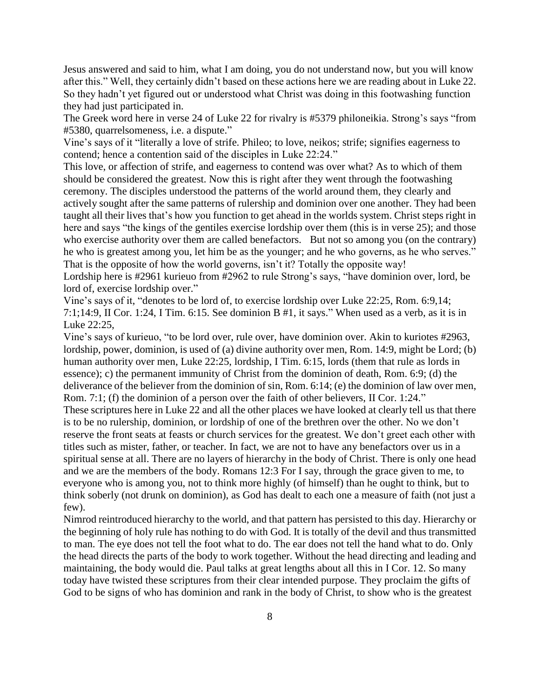Jesus answered and said to him, what I am doing, you do not understand now, but you will know after this." Well, they certainly didn't based on these actions here we are reading about in Luke 22. So they hadn't yet figured out or understood what Christ was doing in this footwashing function they had just participated in.

The Greek word here in verse 24 of Luke 22 for rivalry is #5379 philoneikia. Strong's says "from #5380, quarrelsomeness, i.e. a dispute."

Vine's says of it "literally a love of strife. Phileo; to love, neikos; strife; signifies eagerness to contend; hence a contention said of the disciples in Luke 22:24."

This love, or affection of strife, and eagerness to contend was over what? As to which of them should be considered the greatest. Now this is right after they went through the footwashing ceremony. The disciples understood the patterns of the world around them, they clearly and actively sought after the same patterns of rulership and dominion over one another. They had been taught all their lives that's how you function to get ahead in the worlds system. Christ steps right in here and says "the kings of the gentiles exercise lordship over them (this is in verse 25); and those who exercise authority over them are called benefactors. But not so among you (on the contrary) he who is greatest among you, let him be as the younger; and he who governs, as he who serves." That is the opposite of how the world governs, isn't it? Totally the opposite way!

Lordship here is #2961 kurieuo from #2962 to rule Strong's says, "have dominion over, lord, be lord of, exercise lordship over."

Vine's says of it, "denotes to be lord of, to exercise lordship over Luke 22:25, Rom. 6:9,14; 7:1;14:9, II Cor. 1:24, I Tim. 6:15. See dominion B #1, it says." When used as a verb, as it is in Luke 22:25,

Vine's says of kurieuo, "to be lord over, rule over, have dominion over. Akin to kuriotes #2963, lordship, power, dominion, is used of (a) divine authority over men, Rom. 14:9, might be Lord; (b) human authority over men, Luke 22:25, lordship, I Tim. 6:15, lords (them that rule as lords in essence); c) the permanent immunity of Christ from the dominion of death, Rom. 6:9; (d) the deliverance of the believer from the dominion of sin, Rom. 6:14; (e) the dominion of law over men, Rom. 7:1; (f) the dominion of a person over the faith of other believers, II Cor. 1:24."

These scriptures here in Luke 22 and all the other places we have looked at clearly tell us that there is to be no rulership, dominion, or lordship of one of the brethren over the other. No we don't reserve the front seats at feasts or church services for the greatest. We don't greet each other with titles such as mister, father, or teacher. In fact, we are not to have any benefactors over us in a spiritual sense at all. There are no layers of hierarchy in the body of Christ. There is only one head and we are the members of the body. Romans 12:3 For I say, through the grace given to me, to everyone who is among you, not to think more highly (of himself) than he ought to think, but to think soberly (not drunk on dominion), as God has dealt to each one a measure of faith (not just a few).

Nimrod reintroduced hierarchy to the world, and that pattern has persisted to this day. Hierarchy or the beginning of holy rule has nothing to do with God. It is totally of the devil and thus transmitted to man. The eye does not tell the foot what to do. The ear does not tell the hand what to do. Only the head directs the parts of the body to work together. Without the head directing and leading and maintaining, the body would die. Paul talks at great lengths about all this in I Cor. 12. So many today have twisted these scriptures from their clear intended purpose. They proclaim the gifts of God to be signs of who has dominion and rank in the body of Christ, to show who is the greatest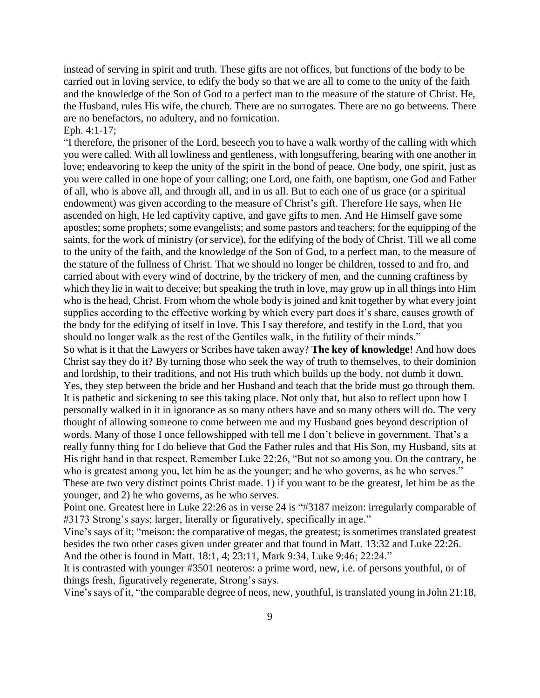instead of serving in spirit and truth. These gifts are not offices, but functions of the body to be carried out in loving service, to edify the body so that we are all to come to the unity of the faith and the knowledge of the Son of God to a perfect man to the measure of the stature of Christ. He, the Husband, rules His wife, the church. There are no surrogates. There are no go betweens. There are no benefactors, no adultery, and no fornication. Eph. 4:1-17;

"I therefore, the prisoner of the Lord, beseech you to have a walk worthy of the calling with which you were called. With all lowliness and gentleness, with longsuffering, bearing with one another in love; endeavoring to keep the unity of the spirit in the bond of peace. One body, one spirit, just as you were called in one hope of your calling; one Lord, one faith, one baptism, one God and Father of all, who is above all, and through all, and in us all. But to each one of us grace (or a spiritual endowment) was given according to the measure of Christ's gift. Therefore He says, when He ascended on high, He led captivity captive, and gave gifts to men. And He Himself gave some apostles; some prophets; some evangelists; and some pastors and teachers; for the equipping of the saints, for the work of ministry (or service), for the edifying of the body of Christ. Till we all come to the unity of the faith, and the knowledge of the Son of God, to a perfect man, to the measure of the stature of the fullness of Christ. That we should no longer be children, tossed to and fro, and carried about with every wind of doctrine, by the trickery of men, and the cunning craftiness by which they lie in wait to deceive; but speaking the truth in love, may grow up in all things into Him who is the head, Christ. From whom the whole body is joined and knit together by what every joint supplies according to the effective working by which every part does it's share, causes growth of the body for the edifying of itself in love. This I say therefore, and testify in the Lord, that you should no longer walk as the rest of the Gentiles walk, in the futility of their minds." So what is it that the Lawyers or Scribes have taken away? **The key of knowledge**! And how does Christ say they do it? By turning those who seek the way of truth to themselves, to their dominion and lordship, to their traditions, and not His truth which builds up the body, not dumb it down. Yes, they step between the bride and her Husband and teach that the bride must go through them. It is pathetic and sickening to see this taking place. Not only that, but also to reflect upon how I personally walked in it in ignorance as so many others have and so many others will do. The very thought of allowing someone to come between me and my Husband goes beyond description of words. Many of those I once fellowshipped with tell me I don't believe in government. That's a really funny thing for I do believe that God the Father rules and that His Son, my Husband, sits at His right hand in that respect. Remember Luke 22:26, "But not so among you. On the contrary, he who is greatest among you, let him be as the younger; and he who governs, as he who serves." These are two very distinct points Christ made. 1) if you want to be the greatest, let him be as the younger, and 2) he who governs, as he who serves.

Point one. Greatest here in Luke 22:26 as in verse 24 is "#3187 meizon: irregularly comparable of #3173 Strong's says; larger, literally or figuratively, specifically in age."

Vine's says of it; "meison: the comparative of megas, the greatest; is sometimes translated greatest besides the two other cases given under greater and that found in Matt. 13:32 and Luke 22:26. And the other is found in Matt. 18:1, 4; 23:11, Mark 9:34, Luke 9:46; 22:24."

It is contrasted with younger #3501 neoteros: a prime word, new, i.e. of persons youthful, or of things fresh, figuratively regenerate, Strong's says.

Vine's says of it, "the comparable degree of neos, new, youthful, is translated young in John 21:18,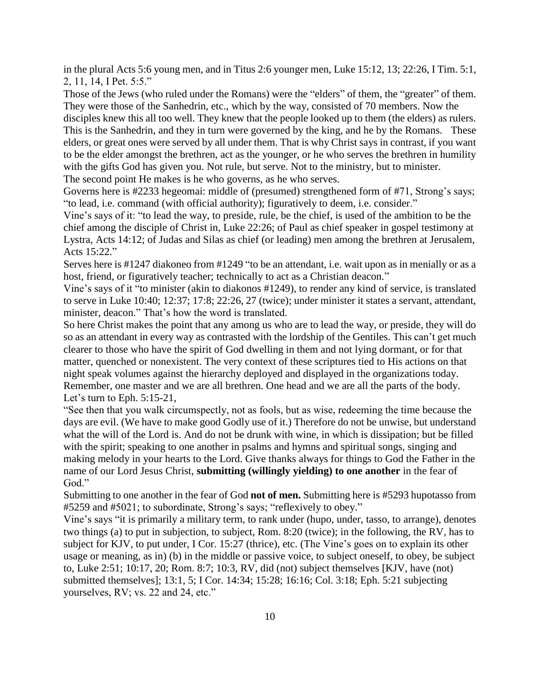in the plural Acts 5:6 young men, and in Titus 2:6 younger men, Luke 15:12, 13; 22:26, I Tim. 5:1, 2, 11, 14, I Pet. 5:5."

Those of the Jews (who ruled under the Romans) were the "elders" of them, the "greater" of them. They were those of the Sanhedrin, etc., which by the way, consisted of 70 members. Now the

disciples knew this all too well. They knew that the people looked up to them (the elders) as rulers. This is the Sanhedrin, and they in turn were governed by the king, and he by the Romans. These elders, or great ones were served by all under them. That is why Christ says in contrast, if you want to be the elder amongst the brethren, act as the younger, or he who serves the brethren in humility with the gifts God has given you. Not rule, but serve. Not to the ministry, but to minister.

The second point He makes is he who governs, as he who serves.

Governs here is #2233 hegeomai: middle of (presumed) strengthened form of #71, Strong's says; "to lead, i.e. command (with official authority); figuratively to deem, i.e. consider."

Vine's says of it: "to lead the way, to preside, rule, be the chief, is used of the ambition to be the chief among the disciple of Christ in, Luke 22:26; of Paul as chief speaker in gospel testimony at Lystra, Acts 14:12; of Judas and Silas as chief (or leading) men among the brethren at Jerusalem, Acts 15:22."

Serves here is #1247 diakoneo from #1249 "to be an attendant, i.e. wait upon as in menially or as a host, friend, or figuratively teacher; technically to act as a Christian deacon."

Vine's says of it "to minister (akin to diakonos #1249), to render any kind of service, is translated to serve in Luke 10:40; 12:37; 17:8; 22:26, 27 (twice); under minister it states a servant, attendant, minister, deacon." That's how the word is translated.

So here Christ makes the point that any among us who are to lead the way, or preside, they will do so as an attendant in every way as contrasted with the lordship of the Gentiles. This can't get much clearer to those who have the spirit of God dwelling in them and not lying dormant, or for that matter, quenched or nonexistent. The very context of these scriptures tied to His actions on that night speak volumes against the hierarchy deployed and displayed in the organizations today. Remember, one master and we are all brethren. One head and we are all the parts of the body. Let's turn to Eph. 5:15-21,

"See then that you walk circumspectly, not as fools, but as wise, redeeming the time because the days are evil. (We have to make good Godly use of it.) Therefore do not be unwise, but understand what the will of the Lord is. And do not be drunk with wine, in which is dissipation; but be filled with the spirit; speaking to one another in psalms and hymns and spiritual songs, singing and making melody in your hearts to the Lord. Give thanks always for things to God the Father in the name of our Lord Jesus Christ, **submitting (willingly yielding) to one another** in the fear of God."

Submitting to one another in the fear of God **not of men.** Submitting here is #5293 hupotasso from #5259 and #5021; to subordinate, Strong's says; "reflexively to obey."

Vine's says "it is primarily a military term, to rank under (hupo, under, tasso, to arrange), denotes two things (a) to put in subjection, to subject, Rom. 8:20 (twice); in the following, the RV, has to subject for KJV, to put under, I Cor. 15:27 (thrice), etc. (The Vine's goes on to explain its other usage or meaning, as in) (b) in the middle or passive voice, to subject oneself, to obey, be subject to, Luke 2:51; 10:17, 20; Rom. 8:7; 10:3, RV, did (not) subject themselves [KJV, have (not) submitted themselves]; 13:1, 5; I Cor. 14:34; 15:28; 16:16; Col. 3:18; Eph. 5:21 subjecting yourselves, RV; vs. 22 and 24, etc."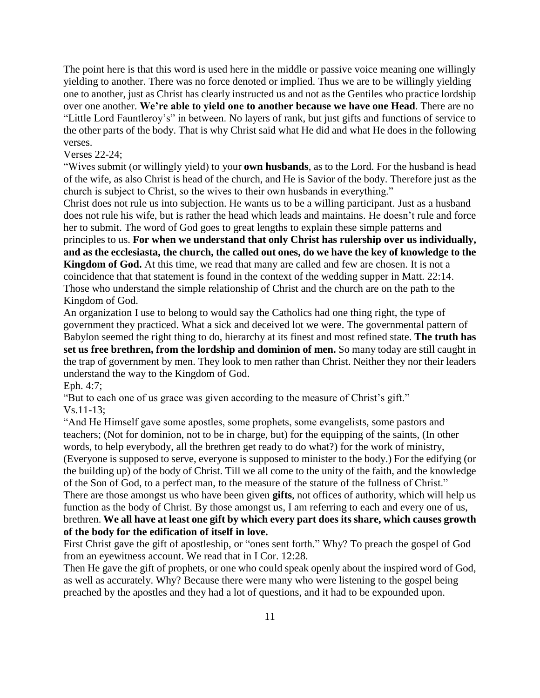The point here is that this word is used here in the middle or passive voice meaning one willingly yielding to another. There was no force denoted or implied. Thus we are to be willingly yielding one to another, just as Christ has clearly instructed us and not as the Gentiles who practice lordship over one another. **We're able to yield one to another because we have one Head**. There are no "Little Lord Fauntleroy's" in between. No layers of rank, but just gifts and functions of service to the other parts of the body. That is why Christ said what He did and what He does in the following verses.

## Verses 22-24;

"Wives submit (or willingly yield) to your **own husbands**, as to the Lord. For the husband is head of the wife, as also Christ is head of the church, and He is Savior of the body. Therefore just as the church is subject to Christ, so the wives to their own husbands in everything."

Christ does not rule us into subjection. He wants us to be a willing participant. Just as a husband does not rule his wife, but is rather the head which leads and maintains. He doesn't rule and force her to submit. The word of God goes to great lengths to explain these simple patterns and

principles to us. **For when we understand that only Christ has rulership over us individually, and as the ecclesiasta, the church, the called out ones, do we have the key of knowledge to the Kingdom of God.** At this time, we read that many are called and few are chosen. It is not a coincidence that that statement is found in the context of the wedding supper in Matt. 22:14. Those who understand the simple relationship of Christ and the church are on the path to the Kingdom of God.

An organization I use to belong to would say the Catholics had one thing right, the type of government they practiced. What a sick and deceived lot we were. The governmental pattern of Babylon seemed the right thing to do, hierarchy at its finest and most refined state. **The truth has set us free brethren, from the lordship and dominion of men.** So many today are still caught in the trap of government by men. They look to men rather than Christ. Neither they nor their leaders understand the way to the Kingdom of God.

Eph. 4:7;

"But to each one of us grace was given according to the measure of Christ's gift."

Vs.11-13;

"And He Himself gave some apostles, some prophets, some evangelists, some pastors and teachers; (Not for dominion, not to be in charge, but) for the equipping of the saints, (In other words, to help everybody, all the brethren get ready to do what?) for the work of ministry, (Everyone is supposed to serve, everyone is supposed to minister to the body.) For the edifying (or the building up) of the body of Christ. Till we all come to the unity of the faith, and the knowledge of the Son of God, to a perfect man, to the measure of the stature of the fullness of Christ." There are those amongst us who have been given **gifts**, not offices of authority, which will help us function as the body of Christ. By those amongst us, I am referring to each and every one of us, brethren. **We all have at least one gift by which every part does its share, which causes growth of the body for the edification of itself in love.**

First Christ gave the gift of apostleship, or "ones sent forth." Why? To preach the gospel of God from an eyewitness account. We read that in I Cor. 12:28.

Then He gave the gift of prophets, or one who could speak openly about the inspired word of God, as well as accurately. Why? Because there were many who were listening to the gospel being preached by the apostles and they had a lot of questions, and it had to be expounded upon.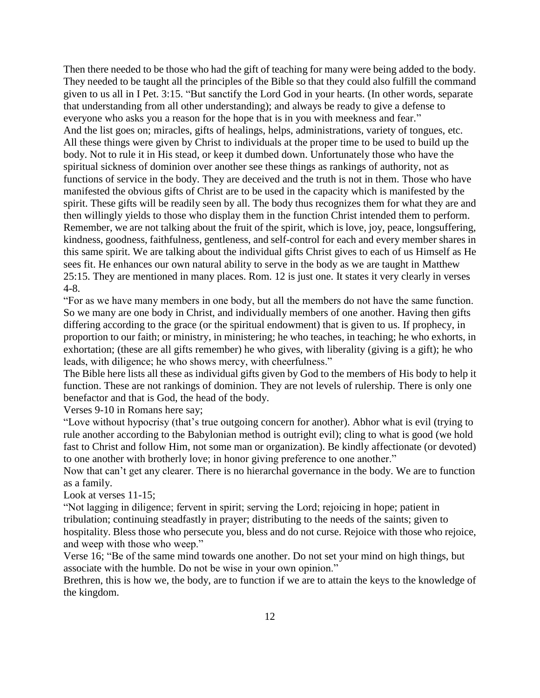Then there needed to be those who had the gift of teaching for many were being added to the body. They needed to be taught all the principles of the Bible so that they could also fulfill the command given to us all in I Pet. 3:15. "But sanctify the Lord God in your hearts. (In other words, separate that understanding from all other understanding); and always be ready to give a defense to everyone who asks you a reason for the hope that is in you with meekness and fear." And the list goes on; miracles, gifts of healings, helps, administrations, variety of tongues, etc. All these things were given by Christ to individuals at the proper time to be used to build up the body. Not to rule it in His stead, or keep it dumbed down. Unfortunately those who have the spiritual sickness of dominion over another see these things as rankings of authority, not as functions of service in the body. They are deceived and the truth is not in them. Those who have manifested the obvious gifts of Christ are to be used in the capacity which is manifested by the spirit. These gifts will be readily seen by all. The body thus recognizes them for what they are and then willingly yields to those who display them in the function Christ intended them to perform. Remember, we are not talking about the fruit of the spirit, which is love, joy, peace, longsuffering, kindness, goodness, faithfulness, gentleness, and self-control for each and every member shares in this same spirit. We are talking about the individual gifts Christ gives to each of us Himself as He sees fit. He enhances our own natural ability to serve in the body as we are taught in Matthew 25:15. They are mentioned in many places. Rom. 12 is just one. It states it very clearly in verses 4-8.

"For as we have many members in one body, but all the members do not have the same function. So we many are one body in Christ, and individually members of one another. Having then gifts differing according to the grace (or the spiritual endowment) that is given to us. If prophecy, in proportion to our faith; or ministry, in ministering; he who teaches, in teaching; he who exhorts, in exhortation; (these are all gifts remember) he who gives, with liberality (giving is a gift); he who leads, with diligence; he who shows mercy, with cheerfulness."

The Bible here lists all these as individual gifts given by God to the members of His body to help it function. These are not rankings of dominion. They are not levels of rulership. There is only one benefactor and that is God, the head of the body.

Verses 9-10 in Romans here say;

"Love without hypocrisy (that's true outgoing concern for another). Abhor what is evil (trying to rule another according to the Babylonian method is outright evil); cling to what is good (we hold fast to Christ and follow Him, not some man or organization). Be kindly affectionate (or devoted) to one another with brotherly love; in honor giving preference to one another."

Now that can't get any clearer. There is no hierarchal governance in the body. We are to function as a family.

Look at verses 11-15;

"Not lagging in diligence; fervent in spirit; serving the Lord; rejoicing in hope; patient in tribulation; continuing steadfastly in prayer; distributing to the needs of the saints; given to hospitality. Bless those who persecute you, bless and do not curse. Rejoice with those who rejoice, and weep with those who weep."

Verse 16; "Be of the same mind towards one another. Do not set your mind on high things, but associate with the humble. Do not be wise in your own opinion."

Brethren, this is how we, the body, are to function if we are to attain the keys to the knowledge of the kingdom.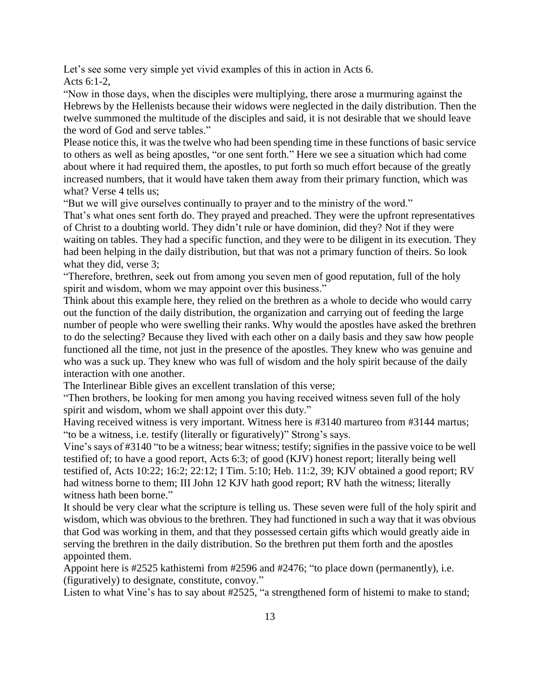Let's see some very simple yet vivid examples of this in action in Acts 6. Acts 6:1-2,

"Now in those days, when the disciples were multiplying, there arose a murmuring against the Hebrews by the Hellenists because their widows were neglected in the daily distribution. Then the twelve summoned the multitude of the disciples and said, it is not desirable that we should leave the word of God and serve tables."

Please notice this, it was the twelve who had been spending time in these functions of basic service to others as well as being apostles, "or one sent forth." Here we see a situation which had come about where it had required them, the apostles, to put forth so much effort because of the greatly increased numbers, that it would have taken them away from their primary function, which was what? Verse 4 tells us;

"But we will give ourselves continually to prayer and to the ministry of the word."

That's what ones sent forth do. They prayed and preached. They were the upfront representatives of Christ to a doubting world. They didn't rule or have dominion, did they? Not if they were waiting on tables. They had a specific function, and they were to be diligent in its execution. They had been helping in the daily distribution, but that was not a primary function of theirs. So look what they did, verse 3;

"Therefore, brethren, seek out from among you seven men of good reputation, full of the holy spirit and wisdom, whom we may appoint over this business."

Think about this example here, they relied on the brethren as a whole to decide who would carry out the function of the daily distribution, the organization and carrying out of feeding the large number of people who were swelling their ranks. Why would the apostles have asked the brethren to do the selecting? Because they lived with each other on a daily basis and they saw how people functioned all the time, not just in the presence of the apostles. They knew who was genuine and who was a suck up. They knew who was full of wisdom and the holy spirit because of the daily interaction with one another.

The Interlinear Bible gives an excellent translation of this verse;

"Then brothers, be looking for men among you having received witness seven full of the holy spirit and wisdom, whom we shall appoint over this duty."

Having received witness is very important. Witness here is #3140 martureo from #3144 martus; "to be a witness, i.e. testify (literally or figuratively)" Strong's says.

Vine's says of #3140 "to be a witness; bear witness; testify; signifies in the passive voice to be well testified of; to have a good report, Acts 6:3; of good (KJV) honest report; literally being well testified of, Acts 10:22; 16:2; 22:12; I Tim. 5:10; Heb. 11:2, 39; KJV obtained a good report; RV had witness borne to them; III John 12 KJV hath good report; RV hath the witness; literally witness hath been borne."

It should be very clear what the scripture is telling us. These seven were full of the holy spirit and wisdom, which was obvious to the brethren. They had functioned in such a way that it was obvious that God was working in them, and that they possessed certain gifts which would greatly aide in serving the brethren in the daily distribution. So the brethren put them forth and the apostles appointed them.

Appoint here is #2525 kathistemi from #2596 and #2476; "to place down (permanently), i.e. (figuratively) to designate, constitute, convoy."

Listen to what Vine's has to say about #2525, "a strengthened form of histemi to make to stand;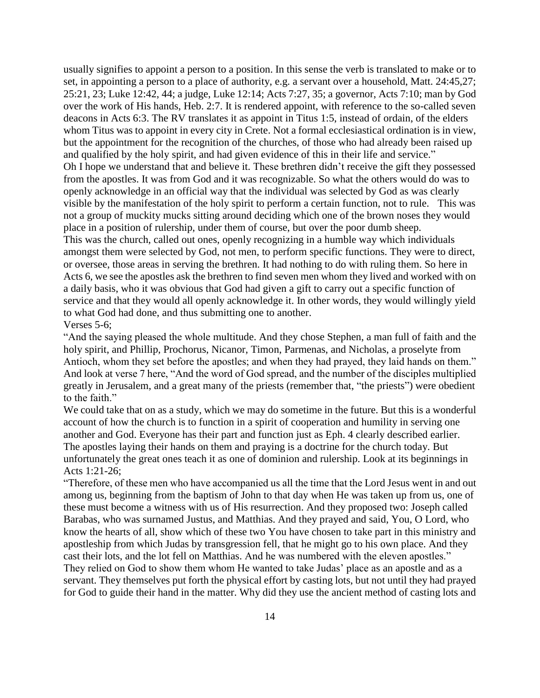usually signifies to appoint a person to a position. In this sense the verb is translated to make or to set, in appointing a person to a place of authority, e.g. a servant over a household, Matt. 24:45,27; 25:21, 23; Luke 12:42, 44; a judge, Luke 12:14; Acts 7:27, 35; a governor, Acts 7:10; man by God over the work of His hands, Heb. 2:7. It is rendered appoint, with reference to the so-called seven deacons in Acts 6:3. The RV translates it as appoint in Titus 1:5, instead of ordain, of the elders whom Titus was to appoint in every city in Crete. Not a formal ecclesiastical ordination is in view, but the appointment for the recognition of the churches, of those who had already been raised up and qualified by the holy spirit, and had given evidence of this in their life and service." Oh I hope we understand that and believe it. These brethren didn't receive the gift they possessed from the apostles. It was from God and it was recognizable. So what the others would do was to openly acknowledge in an official way that the individual was selected by God as was clearly visible by the manifestation of the holy spirit to perform a certain function, not to rule. This was not a group of muckity mucks sitting around deciding which one of the brown noses they would place in a position of rulership, under them of course, but over the poor dumb sheep. This was the church, called out ones, openly recognizing in a humble way which individuals amongst them were selected by God, not men, to perform specific functions. They were to direct, or oversee, those areas in serving the brethren. It had nothing to do with ruling them. So here in Acts 6, we see the apostles ask the brethren to find seven men whom they lived and worked with on a daily basis, who it was obvious that God had given a gift to carry out a specific function of service and that they would all openly acknowledge it. In other words, they would willingly yield to what God had done, and thus submitting one to another.

## Verses 5-6;

"And the saying pleased the whole multitude. And they chose Stephen, a man full of faith and the holy spirit, and Phillip, Prochorus, Nicanor, Timon, Parmenas, and Nicholas, a proselyte from Antioch, whom they set before the apostles; and when they had prayed, they laid hands on them." And look at verse 7 here, "And the word of God spread, and the number of the disciples multiplied greatly in Jerusalem, and a great many of the priests (remember that, "the priests") were obedient to the faith."

We could take that on as a study, which we may do sometime in the future. But this is a wonderful account of how the church is to function in a spirit of cooperation and humility in serving one another and God. Everyone has their part and function just as Eph. 4 clearly described earlier. The apostles laying their hands on them and praying is a doctrine for the church today. But unfortunately the great ones teach it as one of dominion and rulership. Look at its beginnings in Acts 1:21-26;

"Therefore, of these men who have accompanied us all the time that the Lord Jesus went in and out among us, beginning from the baptism of John to that day when He was taken up from us, one of these must become a witness with us of His resurrection. And they proposed two: Joseph called Barabas, who was surnamed Justus, and Matthias. And they prayed and said, You, O Lord, who know the hearts of all, show which of these two You have chosen to take part in this ministry and apostleship from which Judas by transgression fell, that he might go to his own place. And they cast their lots, and the lot fell on Matthias. And he was numbered with the eleven apostles." They relied on God to show them whom He wanted to take Judas' place as an apostle and as a servant. They themselves put forth the physical effort by casting lots, but not until they had prayed for God to guide their hand in the matter. Why did they use the ancient method of casting lots and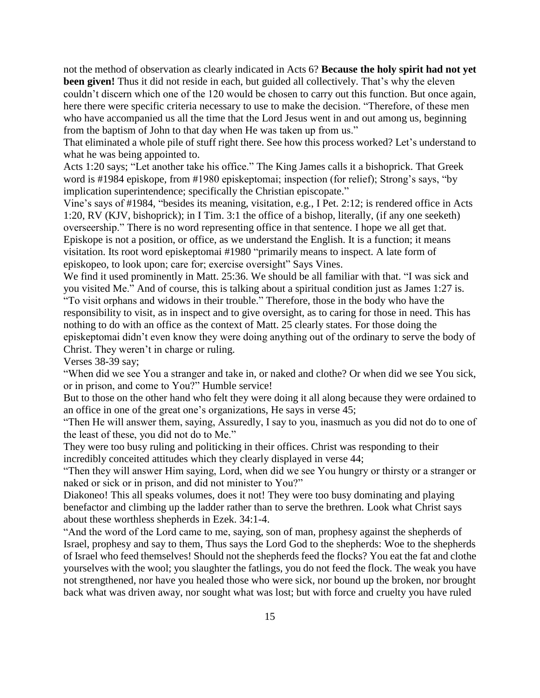not the method of observation as clearly indicated in Acts 6? **Because the holy spirit had not yet been given!** Thus it did not reside in each, but guided all collectively. That's why the eleven couldn't discern which one of the 120 would be chosen to carry out this function. But once again, here there were specific criteria necessary to use to make the decision. "Therefore, of these men who have accompanied us all the time that the Lord Jesus went in and out among us, beginning from the baptism of John to that day when He was taken up from us."

That eliminated a whole pile of stuff right there. See how this process worked? Let's understand to what he was being appointed to.

Acts 1:20 says; "Let another take his office." The King James calls it a bishoprick. That Greek word is #1984 episkope, from #1980 episkeptomai; inspection (for relief); Strong's says, "by implication superintendence; specifically the Christian episcopate."

Vine's says of #1984, "besides its meaning, visitation, e.g., I Pet. 2:12; is rendered office in Acts 1:20, RV (KJV, bishoprick); in I Tim. 3:1 the office of a bishop, literally, (if any one seeketh) overseership." There is no word representing office in that sentence. I hope we all get that. Episkope is not a position, or office, as we understand the English. It is a function; it means visitation. Its root word episkeptomai #1980 "primarily means to inspect. A late form of episkopeo, to look upon; care for; exercise oversight" Says Vines.

We find it used prominently in Matt. 25:36. We should be all familiar with that. "I was sick and you visited Me." And of course, this is talking about a spiritual condition just as James 1:27 is. "To visit orphans and widows in their trouble." Therefore, those in the body who have the responsibility to visit, as in inspect and to give oversight, as to caring for those in need. This has nothing to do with an office as the context of Matt. 25 clearly states. For those doing the episkeptomai didn't even know they were doing anything out of the ordinary to serve the body of Christ. They weren't in charge or ruling.

Verses 38-39 say;

"When did we see You a stranger and take in, or naked and clothe? Or when did we see You sick, or in prison, and come to You?" Humble service!

But to those on the other hand who felt they were doing it all along because they were ordained to an office in one of the great one's organizations, He says in verse 45;

"Then He will answer them, saying, Assuredly, I say to you, inasmuch as you did not do to one of the least of these, you did not do to Me."

They were too busy ruling and politicking in their offices. Christ was responding to their incredibly conceited attitudes which they clearly displayed in verse 44;

"Then they will answer Him saying, Lord, when did we see You hungry or thirsty or a stranger or naked or sick or in prison, and did not minister to You?"

Diakoneo! This all speaks volumes, does it not! They were too busy dominating and playing benefactor and climbing up the ladder rather than to serve the brethren. Look what Christ says about these worthless shepherds in Ezek. 34:1-4.

"And the word of the Lord came to me, saying, son of man, prophesy against the shepherds of Israel, prophesy and say to them, Thus says the Lord God to the shepherds: Woe to the shepherds of Israel who feed themselves! Should not the shepherds feed the flocks? You eat the fat and clothe yourselves with the wool; you slaughter the fatlings, you do not feed the flock. The weak you have not strengthened, nor have you healed those who were sick, nor bound up the broken, nor brought back what was driven away, nor sought what was lost; but with force and cruelty you have ruled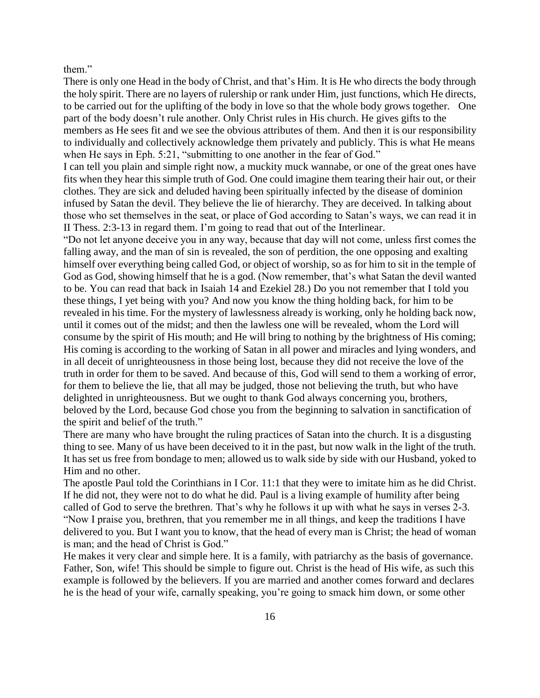them."

There is only one Head in the body of Christ, and that's Him. It is He who directs the body through the holy spirit. There are no layers of rulership or rank under Him, just functions, which He directs, to be carried out for the uplifting of the body in love so that the whole body grows together. One part of the body doesn't rule another. Only Christ rules in His church. He gives gifts to the members as He sees fit and we see the obvious attributes of them. And then it is our responsibility to individually and collectively acknowledge them privately and publicly. This is what He means when He says in Eph. 5:21, "submitting to one another in the fear of God."

I can tell you plain and simple right now, a muckity muck wannabe, or one of the great ones have fits when they hear this simple truth of God. One could imagine them tearing their hair out, or their clothes. They are sick and deluded having been spiritually infected by the disease of dominion infused by Satan the devil. They believe the lie of hierarchy. They are deceived. In talking about those who set themselves in the seat, or place of God according to Satan's ways, we can read it in II Thess. 2:3-13 in regard them. I'm going to read that out of the Interlinear.

"Do not let anyone deceive you in any way, because that day will not come, unless first comes the falling away, and the man of sin is revealed, the son of perdition, the one opposing and exalting himself over everything being called God, or object of worship, so as for him to sit in the temple of God as God, showing himself that he is a god. (Now remember, that's what Satan the devil wanted to be. You can read that back in Isaiah 14 and Ezekiel 28.) Do you not remember that I told you these things, I yet being with you? And now you know the thing holding back, for him to be revealed in his time. For the mystery of lawlessness already is working, only he holding back now, until it comes out of the midst; and then the lawless one will be revealed, whom the Lord will consume by the spirit of His mouth; and He will bring to nothing by the brightness of His coming; His coming is according to the working of Satan in all power and miracles and lying wonders, and in all deceit of unrighteousness in those being lost, because they did not receive the love of the truth in order for them to be saved. And because of this, God will send to them a working of error, for them to believe the lie, that all may be judged, those not believing the truth, but who have delighted in unrighteousness. But we ought to thank God always concerning you, brothers, beloved by the Lord, because God chose you from the beginning to salvation in sanctification of the spirit and belief of the truth."

There are many who have brought the ruling practices of Satan into the church. It is a disgusting thing to see. Many of us have been deceived to it in the past, but now walk in the light of the truth. It has set us free from bondage to men; allowed us to walk side by side with our Husband, yoked to Him and no other.

The apostle Paul told the Corinthians in I Cor. 11:1 that they were to imitate him as he did Christ. If he did not, they were not to do what he did. Paul is a living example of humility after being called of God to serve the brethren. That's why he follows it up with what he says in verses 2-3. "Now I praise you, brethren, that you remember me in all things, and keep the traditions I have delivered to you. But I want you to know, that the head of every man is Christ; the head of woman is man; and the head of Christ is God."

He makes it very clear and simple here. It is a family, with patriarchy as the basis of governance. Father, Son, wife! This should be simple to figure out. Christ is the head of His wife, as such this example is followed by the believers. If you are married and another comes forward and declares he is the head of your wife, carnally speaking, you're going to smack him down, or some other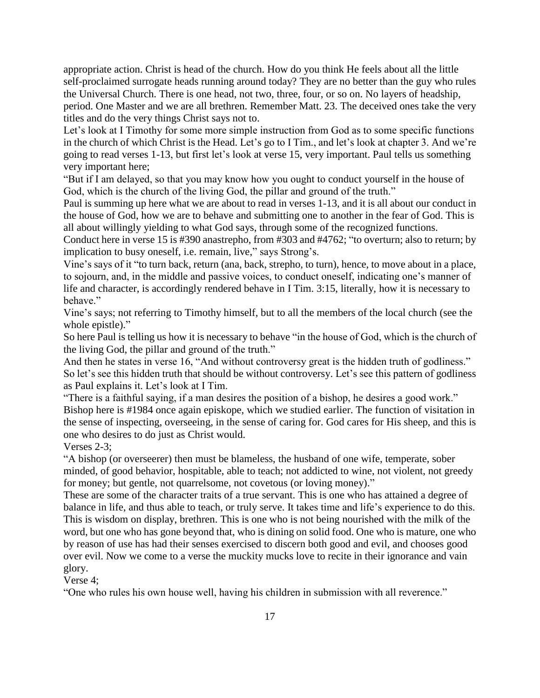appropriate action. Christ is head of the church. How do you think He feels about all the little self-proclaimed surrogate heads running around today? They are no better than the guy who rules the Universal Church. There is one head, not two, three, four, or so on. No layers of headship, period. One Master and we are all brethren. Remember Matt. 23. The deceived ones take the very titles and do the very things Christ says not to.

Let's look at I Timothy for some more simple instruction from God as to some specific functions in the church of which Christ is the Head. Let's go to I Tim., and let's look at chapter 3. And we're going to read verses 1-13, but first let's look at verse 15, very important. Paul tells us something very important here;

"But if I am delayed, so that you may know how you ought to conduct yourself in the house of God, which is the church of the living God, the pillar and ground of the truth."

Paul is summing up here what we are about to read in verses 1-13, and it is all about our conduct in the house of God, how we are to behave and submitting one to another in the fear of God. This is all about willingly yielding to what God says, through some of the recognized functions.

Conduct here in verse 15 is #390 anastrepho, from #303 and #4762; "to overturn; also to return; by implication to busy oneself, i.e. remain, live," says Strong's.

Vine's says of it "to turn back, return (ana, back, strepho, to turn), hence, to move about in a place, to sojourn, and, in the middle and passive voices, to conduct oneself, indicating one's manner of life and character, is accordingly rendered behave in I Tim. 3:15, literally, how it is necessary to behave."

Vine's says; not referring to Timothy himself, but to all the members of the local church (see the whole epistle)."

So here Paul is telling us how it is necessary to behave "in the house of God, which is the church of the living God, the pillar and ground of the truth."

And then he states in verse 16, "And without controversy great is the hidden truth of godliness." So let's see this hidden truth that should be without controversy. Let's see this pattern of godliness as Paul explains it. Let's look at I Tim.

"There is a faithful saying, if a man desires the position of a bishop, he desires a good work." Bishop here is #1984 once again episkope, which we studied earlier. The function of visitation in the sense of inspecting, overseeing, in the sense of caring for. God cares for His sheep, and this is one who desires to do just as Christ would.

Verses 2-3;

"A bishop (or overseerer) then must be blameless, the husband of one wife, temperate, sober minded, of good behavior, hospitable, able to teach; not addicted to wine, not violent, not greedy for money; but gentle, not quarrelsome, not covetous (or loving money)."

These are some of the character traits of a true servant. This is one who has attained a degree of balance in life, and thus able to teach, or truly serve. It takes time and life's experience to do this. This is wisdom on display, brethren. This is one who is not being nourished with the milk of the word, but one who has gone beyond that, who is dining on solid food. One who is mature, one who by reason of use has had their senses exercised to discern both good and evil, and chooses good over evil. Now we come to a verse the muckity mucks love to recite in their ignorance and vain glory.

Verse 4;

"One who rules his own house well, having his children in submission with all reverence."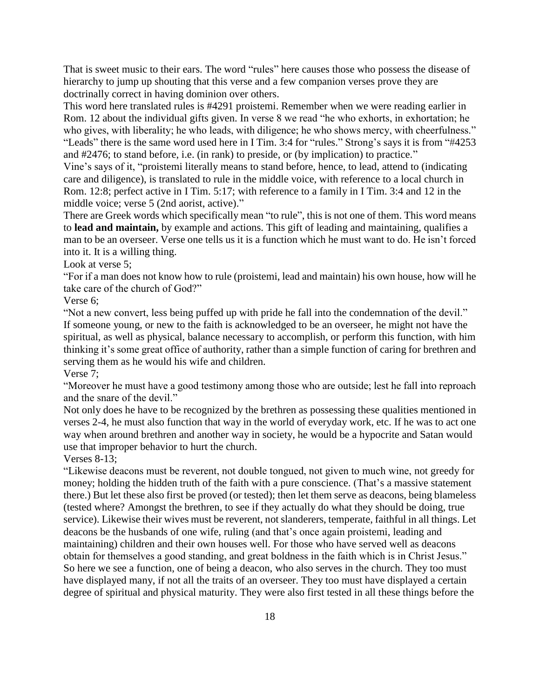That is sweet music to their ears. The word "rules" here causes those who possess the disease of hierarchy to jump up shouting that this verse and a few companion verses prove they are doctrinally correct in having dominion over others.

This word here translated rules is #4291 proistemi. Remember when we were reading earlier in Rom. 12 about the individual gifts given. In verse 8 we read "he who exhorts, in exhortation; he who gives, with liberality; he who leads, with diligence; he who shows mercy, with cheerfulness." "Leads" there is the same word used here in I Tim. 3:4 for "rules." Strong's says it is from "#4253 and #2476; to stand before, i.e. (in rank) to preside, or (by implication) to practice."

Vine's says of it, "proistemi literally means to stand before, hence, to lead, attend to (indicating care and diligence), is translated to rule in the middle voice, with reference to a local church in Rom. 12:8; perfect active in I Tim. 5:17; with reference to a family in I Tim. 3:4 and 12 in the middle voice; verse 5 (2nd aorist, active)."

There are Greek words which specifically mean "to rule", this is not one of them. This word means to **lead and maintain,** by example and actions. This gift of leading and maintaining, qualifies a man to be an overseer. Verse one tells us it is a function which he must want to do. He isn't forced into it. It is a willing thing.

Look at verse 5;

"For if a man does not know how to rule (proistemi, lead and maintain) his own house, how will he take care of the church of God?"

Verse 6;

"Not a new convert, less being puffed up with pride he fall into the condemnation of the devil." If someone young, or new to the faith is acknowledged to be an overseer, he might not have the spiritual, as well as physical, balance necessary to accomplish, or perform this function, with him thinking it's some great office of authority, rather than a simple function of caring for brethren and serving them as he would his wife and children.

Verse 7;

"Moreover he must have a good testimony among those who are outside; lest he fall into reproach and the snare of the devil."

Not only does he have to be recognized by the brethren as possessing these qualities mentioned in verses 2-4, he must also function that way in the world of everyday work, etc. If he was to act one way when around brethren and another way in society, he would be a hypocrite and Satan would use that improper behavior to hurt the church.

Verses 8-13;

"Likewise deacons must be reverent, not double tongued, not given to much wine, not greedy for money; holding the hidden truth of the faith with a pure conscience. (That's a massive statement there.) But let these also first be proved (or tested); then let them serve as deacons, being blameless (tested where? Amongst the brethren, to see if they actually do what they should be doing, true service). Likewise their wives must be reverent, not slanderers, temperate, faithful in all things. Let deacons be the husbands of one wife, ruling (and that's once again proistemi, leading and maintaining) children and their own houses well. For those who have served well as deacons obtain for themselves a good standing, and great boldness in the faith which is in Christ Jesus." So here we see a function, one of being a deacon, who also serves in the church. They too must have displayed many, if not all the traits of an overseer. They too must have displayed a certain degree of spiritual and physical maturity. They were also first tested in all these things before the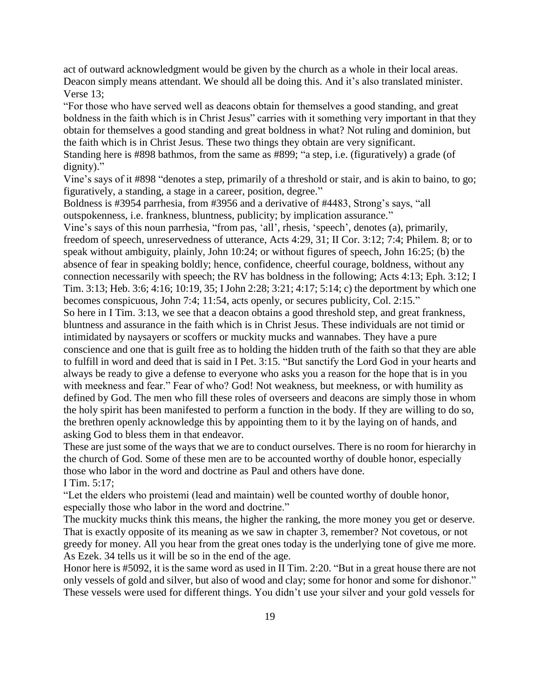act of outward acknowledgment would be given by the church as a whole in their local areas. Deacon simply means attendant. We should all be doing this. And it's also translated minister. Verse 13;

"For those who have served well as deacons obtain for themselves a good standing, and great boldness in the faith which is in Christ Jesus" carries with it something very important in that they obtain for themselves a good standing and great boldness in what? Not ruling and dominion, but the faith which is in Christ Jesus. These two things they obtain are very significant. Standing here is #898 bathmos, from the same as #899; "a step, i.e. (figuratively) a grade (of dignity)."

Vine's says of it #898 "denotes a step, primarily of a threshold or stair, and is akin to baino, to go; figuratively, a standing, a stage in a career, position, degree."

Boldness is #3954 parrhesia, from #3956 and a derivative of #4483, Strong's says, "all outspokenness, i.e. frankness, bluntness, publicity; by implication assurance."

Vine's says of this noun parrhesia, "from pas, 'all', rhesis, 'speech', denotes (a), primarily, freedom of speech, unreservedness of utterance, Acts 4:29, 31; II Cor. 3:12; 7:4; Philem. 8; or to speak without ambiguity, plainly, John 10:24; or without figures of speech, John 16:25; (b) the absence of fear in speaking boldly; hence, confidence, cheerful courage, boldness, without any connection necessarily with speech; the RV has boldness in the following; Acts 4:13; Eph. 3:12; I Tim. 3:13; Heb. 3:6; 4:16; 10:19, 35; I John 2:28; 3:21; 4:17; 5:14; c) the deportment by which one becomes conspicuous, John 7:4; 11:54, acts openly, or secures publicity, Col. 2:15."

So here in I Tim. 3:13, we see that a deacon obtains a good threshold step, and great frankness, bluntness and assurance in the faith which is in Christ Jesus. These individuals are not timid or intimidated by naysayers or scoffers or muckity mucks and wannabes. They have a pure conscience and one that is guilt free as to holding the hidden truth of the faith so that they are able to fulfill in word and deed that is said in I Pet. 3:15. "But sanctify the Lord God in your hearts and always be ready to give a defense to everyone who asks you a reason for the hope that is in you with meekness and fear." Fear of who? God! Not weakness, but meekness, or with humility as defined by God. The men who fill these roles of overseers and deacons are simply those in whom the holy spirit has been manifested to perform a function in the body. If they are willing to do so, the brethren openly acknowledge this by appointing them to it by the laying on of hands, and asking God to bless them in that endeavor.

These are just some of the ways that we are to conduct ourselves. There is no room for hierarchy in the church of God. Some of these men are to be accounted worthy of double honor, especially those who labor in the word and doctrine as Paul and others have done. I Tim. 5:17;

"Let the elders who proistemi (lead and maintain) well be counted worthy of double honor, especially those who labor in the word and doctrine."

The muckity mucks think this means, the higher the ranking, the more money you get or deserve. That is exactly opposite of its meaning as we saw in chapter 3, remember? Not covetous, or not greedy for money. All you hear from the great ones today is the underlying tone of give me more. As Ezek. 34 tells us it will be so in the end of the age.

Honor here is #5092, it is the same word as used in II Tim. 2:20. "But in a great house there are not only vessels of gold and silver, but also of wood and clay; some for honor and some for dishonor." These vessels were used for different things. You didn't use your silver and your gold vessels for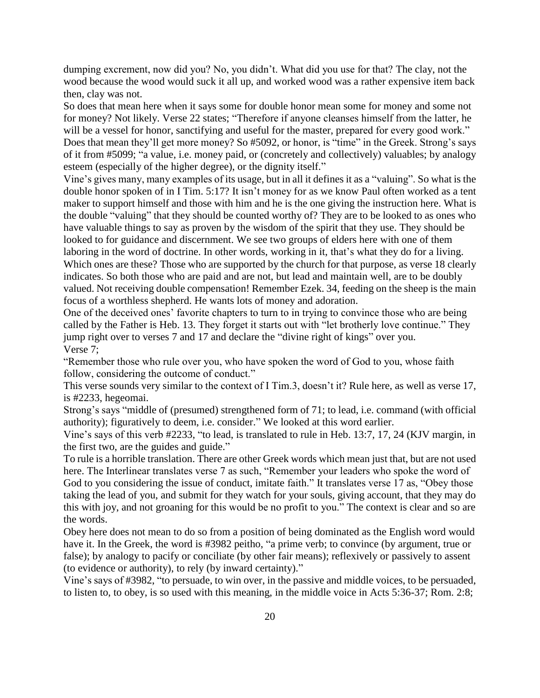dumping excrement, now did you? No, you didn't. What did you use for that? The clay, not the wood because the wood would suck it all up, and worked wood was a rather expensive item back then, clay was not.

So does that mean here when it says some for double honor mean some for money and some not for money? Not likely. Verse 22 states; "Therefore if anyone cleanses himself from the latter, he will be a vessel for honor, sanctifying and useful for the master, prepared for every good work." Does that mean they'll get more money? So #5092, or honor, is "time" in the Greek. Strong's says of it from #5099; "a value, i.e. money paid, or (concretely and collectively) valuables; by analogy esteem (especially of the higher degree), or the dignity itself."

Vine's gives many, many examples of its usage, but in all it defines it as a "valuing". So what is the double honor spoken of in I Tim. 5:17? It isn't money for as we know Paul often worked as a tent maker to support himself and those with him and he is the one giving the instruction here. What is the double "valuing" that they should be counted worthy of? They are to be looked to as ones who have valuable things to say as proven by the wisdom of the spirit that they use. They should be looked to for guidance and discernment. We see two groups of elders here with one of them laboring in the word of doctrine. In other words, working in it, that's what they do for a living. Which ones are these? Those who are supported by the church for that purpose, as verse 18 clearly indicates. So both those who are paid and are not, but lead and maintain well, are to be doubly valued. Not receiving double compensation! Remember Ezek. 34, feeding on the sheep is the main focus of a worthless shepherd. He wants lots of money and adoration.

One of the deceived ones' favorite chapters to turn to in trying to convince those who are being called by the Father is Heb. 13. They forget it starts out with "let brotherly love continue." They jump right over to verses 7 and 17 and declare the "divine right of kings" over you. Verse 7;

"Remember those who rule over you, who have spoken the word of God to you, whose faith follow, considering the outcome of conduct."

This verse sounds very similar to the context of I Tim.3, doesn't it? Rule here, as well as verse 17, is #2233, hegeomai.

Strong's says "middle of (presumed) strengthened form of 71; to lead, i.e. command (with official authority); figuratively to deem, i.e. consider." We looked at this word earlier.

Vine's says of this verb #2233, "to lead, is translated to rule in Heb. 13:7, 17, 24 (KJV margin, in the first two, are the guides and guide."

To rule is a horrible translation. There are other Greek words which mean just that, but are not used here. The Interlinear translates verse 7 as such, "Remember your leaders who spoke the word of

God to you considering the issue of conduct, imitate faith." It translates verse 17 as, "Obey those taking the lead of you, and submit for they watch for your souls, giving account, that they may do this with joy, and not groaning for this would be no profit to you." The context is clear and so are the words.

Obey here does not mean to do so from a position of being dominated as the English word would have it. In the Greek, the word is #3982 peitho, "a prime verb; to convince (by argument, true or false); by analogy to pacify or conciliate (by other fair means); reflexively or passively to assent (to evidence or authority), to rely (by inward certainty)."

Vine's says of #3982, "to persuade, to win over, in the passive and middle voices, to be persuaded, to listen to, to obey, is so used with this meaning, in the middle voice in Acts 5:36-37; Rom. 2:8;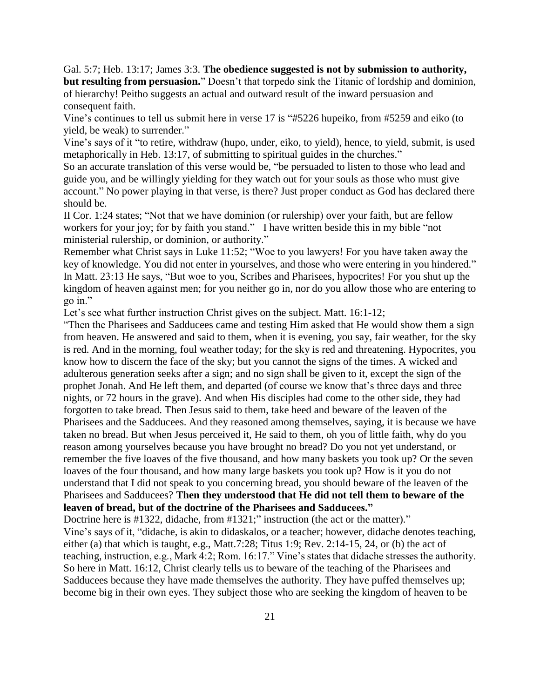Gal. 5:7; Heb. 13:17; James 3:3. **The obedience suggested is not by submission to authority, but resulting from persuasion.**" Doesn't that torpedo sink the Titanic of lordship and dominion, of hierarchy! Peitho suggests an actual and outward result of the inward persuasion and consequent faith.

Vine's continues to tell us submit here in verse 17 is "#5226 hupeiko, from #5259 and eiko (to yield, be weak) to surrender."

Vine's says of it "to retire, withdraw (hupo, under, eiko, to yield), hence, to yield, submit, is used metaphorically in Heb. 13:17, of submitting to spiritual guides in the churches."

So an accurate translation of this verse would be, "be persuaded to listen to those who lead and guide you, and be willingly yielding for they watch out for your souls as those who must give account." No power playing in that verse, is there? Just proper conduct as God has declared there should be.

II Cor. 1:24 states; "Not that we have dominion (or rulership) over your faith, but are fellow workers for your joy; for by faith you stand." I have written beside this in my bible "not ministerial rulership, or dominion, or authority."

Remember what Christ says in Luke 11:52; "Woe to you lawyers! For you have taken away the key of knowledge. You did not enter in yourselves, and those who were entering in you hindered." In Matt. 23:13 He says, "But woe to you, Scribes and Pharisees, hypocrites! For you shut up the kingdom of heaven against men; for you neither go in, nor do you allow those who are entering to go in."

Let's see what further instruction Christ gives on the subject. Matt. 16:1-12;

"Then the Pharisees and Sadducees came and testing Him asked that He would show them a sign from heaven. He answered and said to them, when it is evening, you say, fair weather, for the sky is red. And in the morning, foul weather today; for the sky is red and threatening. Hypocrites, you know how to discern the face of the sky; but you cannot the signs of the times. A wicked and adulterous generation seeks after a sign; and no sign shall be given to it, except the sign of the prophet Jonah. And He left them, and departed (of course we know that's three days and three nights, or 72 hours in the grave). And when His disciples had come to the other side, they had forgotten to take bread. Then Jesus said to them, take heed and beware of the leaven of the Pharisees and the Sadducees. And they reasoned among themselves, saying, it is because we have taken no bread. But when Jesus perceived it, He said to them, oh you of little faith, why do you reason among yourselves because you have brought no bread? Do you not yet understand, or remember the five loaves of the five thousand, and how many baskets you took up? Or the seven loaves of the four thousand, and how many large baskets you took up? How is it you do not understand that I did not speak to you concerning bread, you should beware of the leaven of the Pharisees and Sadducees? **Then they understood that He did not tell them to beware of the leaven of bread, but of the doctrine of the Pharisees and Sadducees."**

Doctrine here is #1322, didache, from #1321;" instruction (the act or the matter)."

Vine's says of it, "didache, is akin to didaskalos, or a teacher; however, didache denotes teaching, either (a) that which is taught, e.g., Matt.7:28; Titus 1:9; Rev. 2:14-15, 24, or (b) the act of teaching, instruction, e.g., Mark 4:2; Rom. 16:17." Vine's states that didache stresses the authority. So here in Matt. 16:12, Christ clearly tells us to beware of the teaching of the Pharisees and Sadducees because they have made themselves the authority. They have puffed themselves up; become big in their own eyes. They subject those who are seeking the kingdom of heaven to be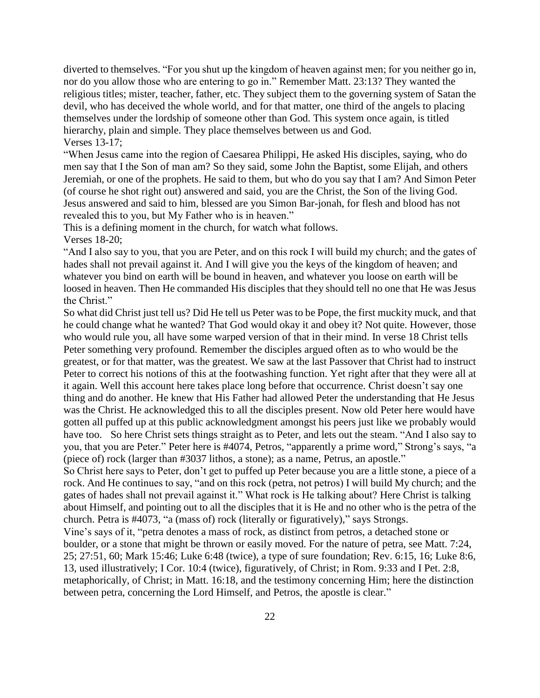diverted to themselves. "For you shut up the kingdom of heaven against men; for you neither go in, nor do you allow those who are entering to go in." Remember Matt. 23:13? They wanted the religious titles; mister, teacher, father, etc. They subject them to the governing system of Satan the devil, who has deceived the whole world, and for that matter, one third of the angels to placing themselves under the lordship of someone other than God. This system once again, is titled hierarchy, plain and simple. They place themselves between us and God. Verses 13-17;

"When Jesus came into the region of Caesarea Philippi, He asked His disciples, saying, who do men say that I the Son of man am? So they said, some John the Baptist, some Elijah, and others Jeremiah, or one of the prophets. He said to them, but who do you say that I am? And Simon Peter (of course he shot right out) answered and said, you are the Christ, the Son of the living God. Jesus answered and said to him, blessed are you Simon Bar-jonah, for flesh and blood has not revealed this to you, but My Father who is in heaven."

This is a defining moment in the church, for watch what follows.

Verses 18-20;

"And I also say to you, that you are Peter, and on this rock I will build my church; and the gates of hades shall not prevail against it. And I will give you the keys of the kingdom of heaven; and whatever you bind on earth will be bound in heaven, and whatever you loose on earth will be loosed in heaven. Then He commanded His disciples that they should tell no one that He was Jesus the Christ."

So what did Christ just tell us? Did He tell us Peter was to be Pope, the first muckity muck, and that he could change what he wanted? That God would okay it and obey it? Not quite. However, those who would rule you, all have some warped version of that in their mind. In verse 18 Christ tells Peter something very profound. Remember the disciples argued often as to who would be the greatest, or for that matter, was the greatest. We saw at the last Passover that Christ had to instruct Peter to correct his notions of this at the footwashing function. Yet right after that they were all at it again. Well this account here takes place long before that occurrence. Christ doesn't say one thing and do another. He knew that His Father had allowed Peter the understanding that He Jesus was the Christ. He acknowledged this to all the disciples present. Now old Peter here would have gotten all puffed up at this public acknowledgment amongst his peers just like we probably would have too. So here Christ sets things straight as to Peter, and lets out the steam. "And I also say to you, that you are Peter." Peter here is #4074, Petros, "apparently a prime word," Strong's says, "a (piece of) rock (larger than #3037 lithos, a stone); as a name, Petrus, an apostle."

So Christ here says to Peter, don't get to puffed up Peter because you are a little stone, a piece of a rock. And He continues to say, "and on this rock (petra, not petros) I will build My church; and the gates of hades shall not prevail against it." What rock is He talking about? Here Christ is talking about Himself, and pointing out to all the disciples that it is He and no other who is the petra of the church. Petra is #4073, "a (mass of) rock (literally or figuratively)," says Strongs.

Vine's says of it, "petra denotes a mass of rock, as distinct from petros, a detached stone or boulder, or a stone that might be thrown or easily moved. For the nature of petra, see Matt. 7:24, 25; 27:51, 60; Mark 15:46; Luke 6:48 (twice), a type of sure foundation; Rev. 6:15, 16; Luke 8:6, 13, used illustratively; I Cor. 10:4 (twice), figuratively, of Christ; in Rom. 9:33 and I Pet. 2:8, metaphorically, of Christ; in Matt. 16:18, and the testimony concerning Him; here the distinction between petra, concerning the Lord Himself, and Petros, the apostle is clear."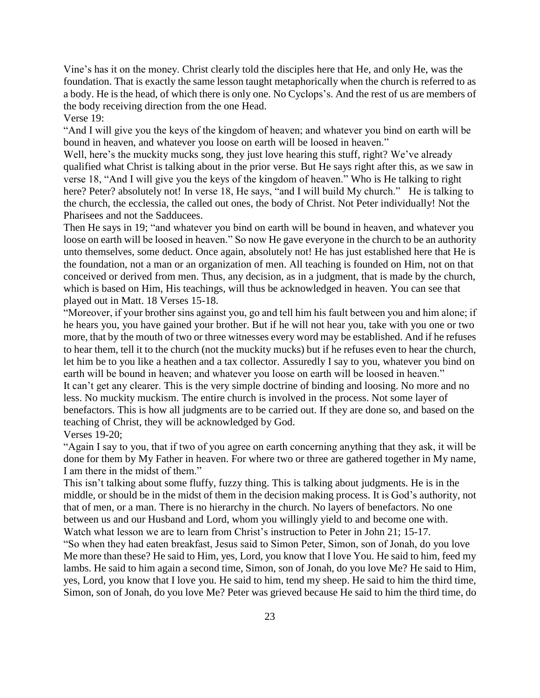Vine's has it on the money. Christ clearly told the disciples here that He, and only He, was the foundation. That is exactly the same lesson taught metaphorically when the church is referred to as a body. He is the head, of which there is only one. No Cyclops's. And the rest of us are members of the body receiving direction from the one Head.

Verse 19:

"And I will give you the keys of the kingdom of heaven; and whatever you bind on earth will be bound in heaven, and whatever you loose on earth will be loosed in heaven."

Well, here's the muckity mucks song, they just love hearing this stuff, right? We've already qualified what Christ is talking about in the prior verse. But He says right after this, as we saw in verse 18, "And I will give you the keys of the kingdom of heaven." Who is He talking to right here? Peter? absolutely not! In verse 18, He says, "and I will build My church." He is talking to the church, the ecclessia, the called out ones, the body of Christ. Not Peter individually! Not the Pharisees and not the Sadducees.

Then He says in 19; "and whatever you bind on earth will be bound in heaven, and whatever you loose on earth will be loosed in heaven." So now He gave everyone in the church to be an authority unto themselves, some deduct. Once again, absolutely not! He has just established here that He is the foundation, not a man or an organization of men. All teaching is founded on Him, not on that conceived or derived from men. Thus, any decision, as in a judgment, that is made by the church, which is based on Him, His teachings, will thus be acknowledged in heaven. You can see that played out in Matt. 18 Verses 15-18.

"Moreover, if your brother sins against you, go and tell him his fault between you and him alone; if he hears you, you have gained your brother. But if he will not hear you, take with you one or two more, that by the mouth of two or three witnesses every word may be established. And if he refuses to hear them, tell it to the church (not the muckity mucks) but if he refuses even to hear the church, let him be to you like a heathen and a tax collector. Assuredly I say to you, whatever you bind on earth will be bound in heaven; and whatever you loose on earth will be loosed in heaven." It can't get any clearer. This is the very simple doctrine of binding and loosing. No more and no less. No muckity muckism. The entire church is involved in the process. Not some layer of benefactors. This is how all judgments are to be carried out. If they are done so, and based on the teaching of Christ, they will be acknowledged by God. Verses 19-20;

"Again I say to you, that if two of you agree on earth concerning anything that they ask, it will be done for them by My Father in heaven. For where two or three are gathered together in My name, I am there in the midst of them."

This isn't talking about some fluffy, fuzzy thing. This is talking about judgments. He is in the middle, or should be in the midst of them in the decision making process. It is God's authority, not that of men, or a man. There is no hierarchy in the church. No layers of benefactors. No one between us and our Husband and Lord, whom you willingly yield to and become one with. Watch what lesson we are to learn from Christ's instruction to Peter in John 21; 15-17.

"So when they had eaten breakfast, Jesus said to Simon Peter, Simon, son of Jonah, do you love Me more than these? He said to Him, yes, Lord, you know that I love You. He said to him, feed my lambs. He said to him again a second time, Simon, son of Jonah, do you love Me? He said to Him, yes, Lord, you know that I love you. He said to him, tend my sheep. He said to him the third time, Simon, son of Jonah, do you love Me? Peter was grieved because He said to him the third time, do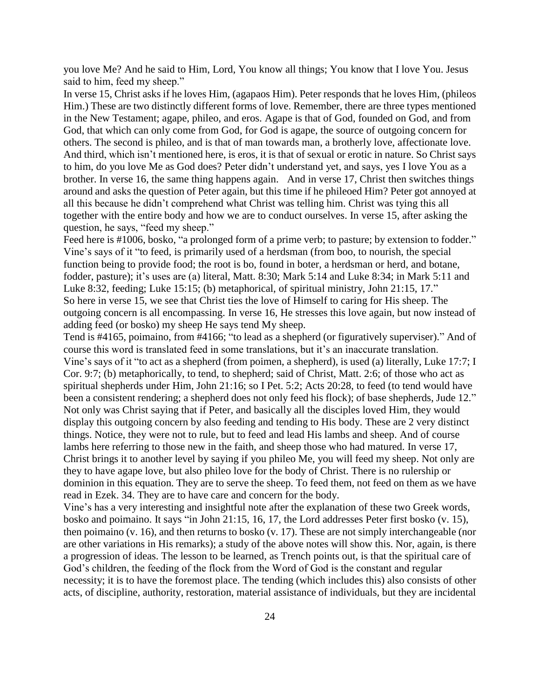you love Me? And he said to Him, Lord, You know all things; You know that I love You. Jesus said to him, feed my sheep."

In verse 15, Christ asks if he loves Him, (agapaos Him). Peter responds that he loves Him, (phileos Him.) These are two distinctly different forms of love. Remember, there are three types mentioned in the New Testament; agape, phileo, and eros. Agape is that of God, founded on God, and from God, that which can only come from God, for God is agape, the source of outgoing concern for others. The second is phileo, and is that of man towards man, a brotherly love, affectionate love. And third, which isn't mentioned here, is eros, it is that of sexual or erotic in nature. So Christ says to him, do you love Me as God does? Peter didn't understand yet, and says, yes I love You as a brother. In verse 16, the same thing happens again. And in verse 17, Christ then switches things around and asks the question of Peter again, but this time if he phileoed Him? Peter got annoyed at all this because he didn't comprehend what Christ was telling him. Christ was tying this all together with the entire body and how we are to conduct ourselves. In verse 15, after asking the question, he says, "feed my sheep."

Feed here is #1006, bosko, "a prolonged form of a prime verb; to pasture; by extension to fodder." Vine's says of it "to feed, is primarily used of a herdsman (from boo, to nourish, the special function being to provide food; the root is bo, found in boter, a herdsman or herd, and botane, fodder, pasture); it's uses are (a) literal, Matt. 8:30; Mark 5:14 and Luke 8:34; in Mark 5:11 and Luke 8:32, feeding; Luke 15:15; (b) metaphorical, of spiritual ministry, John 21:15, 17." So here in verse 15, we see that Christ ties the love of Himself to caring for His sheep. The outgoing concern is all encompassing. In verse 16, He stresses this love again, but now instead of adding feed (or bosko) my sheep He says tend My sheep.

Tend is #4165, poimaino, from #4166; "to lead as a shepherd (or figuratively superviser)." And of course this word is translated feed in some translations, but it's an inaccurate translation. Vine's says of it "to act as a shepherd (from poimen, a shepherd), is used (a) literally, Luke 17:7; I Cor. 9:7; (b) metaphorically, to tend, to shepherd; said of Christ, Matt. 2:6; of those who act as spiritual shepherds under Him, John 21:16; so I Pet. 5:2; Acts 20:28, to feed (to tend would have been a consistent rendering; a shepherd does not only feed his flock); of base shepherds, Jude 12." Not only was Christ saying that if Peter, and basically all the disciples loved Him, they would display this outgoing concern by also feeding and tending to His body. These are 2 very distinct things. Notice, they were not to rule, but to feed and lead His lambs and sheep. And of course lambs here referring to those new in the faith, and sheep those who had matured. In verse 17, Christ brings it to another level by saying if you phileo Me, you will feed my sheep. Not only are they to have agape love, but also phileo love for the body of Christ. There is no rulership or dominion in this equation. They are to serve the sheep. To feed them, not feed on them as we have read in Ezek. 34. They are to have care and concern for the body.

Vine's has a very interesting and insightful note after the explanation of these two Greek words, bosko and poimaino. It says "in John 21:15, 16, 17, the Lord addresses Peter first bosko (v. 15), then poimaino (v. 16), and then returns to bosko (v. 17). These are not simply interchangeable (nor are other variations in His remarks); a study of the above notes will show this. Nor, again, is there a progression of ideas. The lesson to be learned, as Trench points out, is that the spiritual care of God's children, the feeding of the flock from the Word of God is the constant and regular necessity; it is to have the foremost place. The tending (which includes this) also consists of other acts, of discipline, authority, restoration, material assistance of individuals, but they are incidental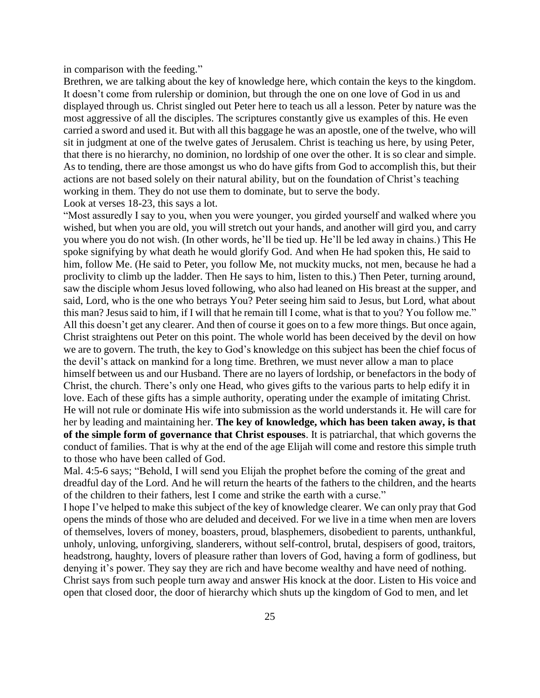in comparison with the feeding."

Brethren, we are talking about the key of knowledge here, which contain the keys to the kingdom. It doesn't come from rulership or dominion, but through the one on one love of God in us and displayed through us. Christ singled out Peter here to teach us all a lesson. Peter by nature was the most aggressive of all the disciples. The scriptures constantly give us examples of this. He even carried a sword and used it. But with all this baggage he was an apostle, one of the twelve, who will sit in judgment at one of the twelve gates of Jerusalem. Christ is teaching us here, by using Peter, that there is no hierarchy, no dominion, no lordship of one over the other. It is so clear and simple. As to tending, there are those amongst us who do have gifts from God to accomplish this, but their actions are not based solely on their natural ability, but on the foundation of Christ's teaching working in them. They do not use them to dominate, but to serve the body. Look at verses 18-23, this says a lot.

"Most assuredly I say to you, when you were younger, you girded yourself and walked where you wished, but when you are old, you will stretch out your hands, and another will gird you, and carry you where you do not wish. (In other words, he'll be tied up. He'll be led away in chains.) This He spoke signifying by what death he would glorify God. And when He had spoken this, He said to him, follow Me. (He said to Peter, you follow Me, not muckity mucks, not men, because he had a proclivity to climb up the ladder. Then He says to him, listen to this.) Then Peter, turning around, saw the disciple whom Jesus loved following, who also had leaned on His breast at the supper, and said, Lord, who is the one who betrays You? Peter seeing him said to Jesus, but Lord, what about this man? Jesus said to him, if I will that he remain till I come, what is that to you? You follow me." All this doesn't get any clearer. And then of course it goes on to a few more things. But once again, Christ straightens out Peter on this point. The whole world has been deceived by the devil on how we are to govern. The truth, the key to God's knowledge on this subject has been the chief focus of the devil's attack on mankind for a long time. Brethren, we must never allow a man to place himself between us and our Husband. There are no layers of lordship, or benefactors in the body of Christ, the church. There's only one Head, who gives gifts to the various parts to help edify it in love. Each of these gifts has a simple authority, operating under the example of imitating Christ. He will not rule or dominate His wife into submission as the world understands it. He will care for her by leading and maintaining her. **The key of knowledge, which has been taken away, is that of the simple form of governance that Christ espouses**. It is patriarchal, that which governs the conduct of families. That is why at the end of the age Elijah will come and restore this simple truth to those who have been called of God.

Mal. 4:5-6 says; "Behold, I will send you Elijah the prophet before the coming of the great and dreadful day of the Lord. And he will return the hearts of the fathers to the children, and the hearts of the children to their fathers, lest I come and strike the earth with a curse."

I hope I've helped to make this subject of the key of knowledge clearer. We can only pray that God opens the minds of those who are deluded and deceived. For we live in a time when men are lovers of themselves, lovers of money, boasters, proud, blasphemers, disobedient to parents, unthankful, unholy, unloving, unforgiving, slanderers, without self-control, brutal, despisers of good, traitors, headstrong, haughty, lovers of pleasure rather than lovers of God, having a form of godliness, but denying it's power. They say they are rich and have become wealthy and have need of nothing. Christ says from such people turn away and answer His knock at the door. Listen to His voice and open that closed door, the door of hierarchy which shuts up the kingdom of God to men, and let